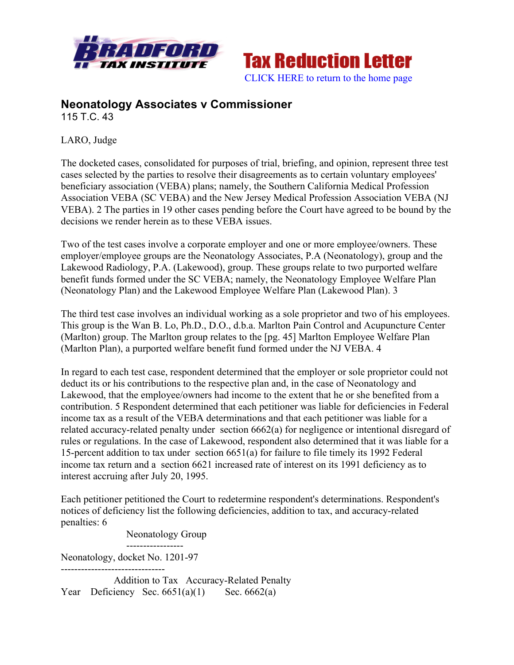



# **Neonatology Associates v Commissioner**

115 T.C. 43

LARO, Judge

The docketed cases, consolidated for purposes of trial, briefing, and opinion, represent three test cases selected by the parties to resolve their disagreements as to certain voluntary employees' beneficiary association (VEBA) plans; namely, the Southern California Medical Profession Association VEBA (SC VEBA) and the New Jersey Medical Profession Association VEBA (NJ VEBA). 2 The parties in 19 other cases pending before the Court have agreed to be bound by the decisions we render herein as to these VEBA issues.

Two of the test cases involve a corporate employer and one or more employee/owners. These employer/employee groups are the Neonatology Associates, P.A (Neonatology), group and the Lakewood Radiology, P.A. (Lakewood), group. These groups relate to two purported welfare benefit funds formed under the SC VEBA; namely, the Neonatology Employee Welfare Plan (Neonatology Plan) and the Lakewood Employee Welfare Plan (Lakewood Plan). 3

The third test case involves an individual working as a sole proprietor and two of his employees. This group is the Wan B. Lo, Ph.D., D.O., d.b.a. Marlton Pain Control and Acupuncture Center (Marlton) group. The Marlton group relates to the [pg. 45] Marlton Employee Welfare Plan (Marlton Plan), a purported welfare benefit fund formed under the NJ VEBA. 4

In regard to each test case, respondent determined that the employer or sole proprietor could not deduct its or his contributions to the respective plan and, in the case of Neonatology and Lakewood, that the employee/owners had income to the extent that he or she benefited from a contribution. 5 Respondent determined that each petitioner was liable for deficiencies in Federal income tax as a result of the VEBA determinations and that each petitioner was liable for a related accuracy-related penalty under section 6662(a) for negligence or intentional disregard of rules or regulations. In the case of Lakewood, respondent also determined that it was liable for a 15-percent addition to tax under section 6651(a) for failure to file timely its 1992 Federal income tax return and a section 6621 increased rate of interest on its 1991 deficiency as to interest accruing after July 20, 1995.

Each petitioner petitioned the Court to redetermine respondent's determinations. Respondent's notices of deficiency list the following deficiencies, addition to tax, and accuracy-related penalties: 6

Neonatology Group

----------------- Neonatology, docket No. 1201-97

-------------------------------

Addition to Tax Accuracy-Related Penalty Year Deficiency Sec.  $6651(a)(1)$  Sec.  $6662(a)$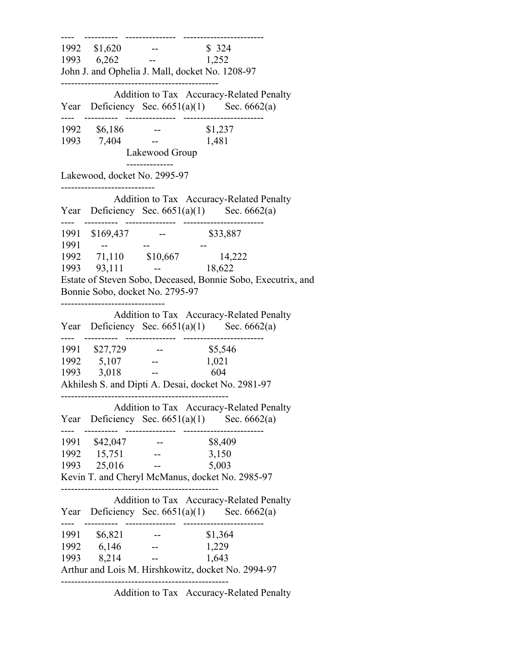---- ---------- --------------- ------------------------ 1992 \$1,620 -- \$ 324 1993 6,262 -- 1,252 John J. and Ophelia J. Mall, docket No. 1208-97 ----------------------------------------------- Addition to Tax Accuracy-Related Penalty Year Deficiency Sec.  $6651(a)(1)$  Sec.  $6662(a)$ ---- ---------- --------------- ------------------------ 1992 \$6,186 -- \$1,237 1993 7,404 -- 1,481 Lakewood Group -------------- Lakewood, docket No. 2995-97 ---------------------------- Addition to Tax Accuracy-Related Penalty Year Deficiency Sec.  $6651(a)(1)$  Sec.  $6662(a)$ ---- ---------- --------------- ------------------------ 1991 \$169,437 -- \$33,887 1991 -- -- -- 1992 71,110 \$10,667 14,222 1993 93,111 -- 18,622 Estate of Steven Sobo, Deceased, Bonnie Sobo, Executrix, and Bonnie Sobo, docket No. 2795-97 ------------------------------- Addition to Tax Accuracy-Related Penalty Year Deficiency Sec.  $6651(a)(1)$  Sec.  $6662(a)$ ---- ---------- --------------- ------------------------ 1991 \$27,729 -- \$5,546 1992 5,107 -- 1,021 1993 3,018 -- 604 Akhilesh S. and Dipti A. Desai, docket No. 2981-97 -------------------------------------------------- Addition to Tax Accuracy-Related Penalty Year Deficiency Sec.  $6651(a)(1)$  Sec.  $6662(a)$ ---- ---------- --------------- ------------------------ 1991 \$42,047 -- \$8,409 1992 15,751 -- 3,150 1993 25,016 -- 5,003 Kevin T. and Cheryl McManus, docket No. 2985-97 ----------------------------------------------- Addition to Tax Accuracy-Related Penalty Year Deficiency Sec.  $6651(a)(1)$  Sec.  $6662(a)$ ---- ---------- --------------- ------------------------ 1991 \$6,821 -- \$1,364 1992 6,146 -- 1,229 1993 8,214 -- 1,643 Arthur and Lois M. Hirshkowitz, docket No. 2994-97 --------------------------------------------------

Addition to Tax Accuracy-Related Penalty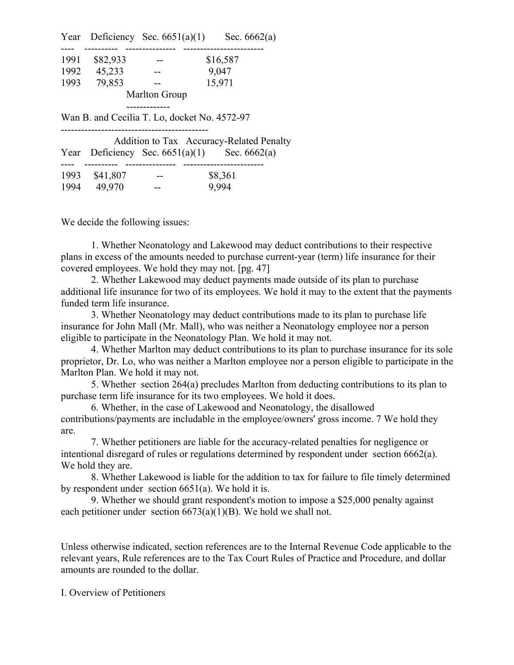Year Deficiency Sec.  $6651(a)(1)$  Sec.  $6662(a)$ ---- ---------- --------------- ------------------------ 1991 \$82,933 -- \$16,587 1992 45,233 -- 9,047 1993 79,853 -- 15,971 Marlton Group ------------- Wan B. and Cecilia T. Lo, docket No. 4572-97 -------------------------------------------- Addition to Tax Accuracy-Related Penalty Year Deficiency Sec.  $6651(a)(1)$  Sec.  $6662(a)$ ---- ---------- --------------- ------------------------ 1993 \$41,807 -- \$8,361 1994 49,970 -- 9,994

We decide the following issues:

1. Whether Neonatology and Lakewood may deduct contributions to their respective plans in excess of the amounts needed to purchase current-year (term) life insurance for their covered employees. We hold they may not. [pg. 47]

2. Whether Lakewood may deduct payments made outside of its plan to purchase additional life insurance for two of its employees. We hold it may to the extent that the payments funded term life insurance.

3. Whether Neonatology may deduct contributions made to its plan to purchase life insurance for John Mall (Mr. Mall), who was neither a Neonatology employee nor a person eligible to participate in the Neonatology Plan. We hold it may not.

4. Whether Marlton may deduct contributions to its plan to purchase insurance for its sole proprietor, Dr. Lo, who was neither a Marlton employee nor a person eligible to participate in the Marlton Plan. We hold it may not.

5. Whether section 264(a) precludes Marlton from deducting contributions to its plan to purchase term life insurance for its two employees. We hold it does.

6. Whether, in the case of Lakewood and Neonatology, the disallowed contributions/payments are includable in the employee/owners' gross income. 7 We hold they are.

7. Whether petitioners are liable for the accuracy-related penalties for negligence or intentional disregard of rules or regulations determined by respondent under section 6662(a). We hold they are.

8. Whether Lakewood is liable for the addition to tax for failure to file timely determined by respondent under section 6651(a). We hold it is.

9. Whether we should grant respondent's motion to impose a \$25,000 penalty against each petitioner under section  $6673(a)(1)(B)$ . We hold we shall not.

Unless otherwise indicated, section references are to the Internal Revenue Code applicable to the relevant years, Rule references are to the Tax Court Rules of Practice and Procedure, and dollar amounts are rounded to the dollar.

I. Overview of Petitioners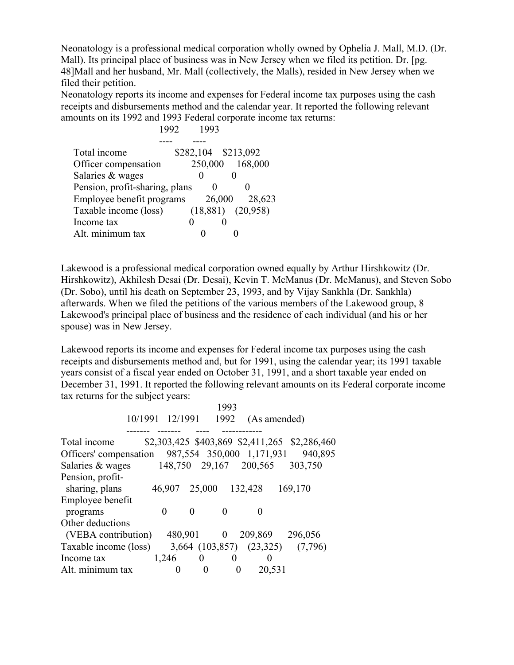Neonatology is a professional medical corporation wholly owned by Ophelia J. Mall, M.D. (Dr. Mall). Its principal place of business was in New Jersey when we filed its petition. Dr. [pg. 48]Mall and her husband, Mr. Mall (collectively, the Malls), resided in New Jersey when we filed their petition.

Neonatology reports its income and expenses for Federal income tax purposes using the cash receipts and disbursements method and the calendar year. It reported the following relevant amounts on its 1992 and 1993 Federal corporate income tax returns:

| Total income                   | \$282,104 \$213,092   |
|--------------------------------|-----------------------|
| Officer compensation           | 168,000<br>250,000    |
| Salaries & wages               |                       |
| Pension, profit-sharing, plans |                       |
| Employee benefit programs      | 26,000<br>28,623      |
| Taxable income (loss)          | $(18,881)$ $(20,958)$ |
| Income tax                     |                       |
| Alt. minimum tax               |                       |

Lakewood is a professional medical corporation owned equally by Arthur Hirshkowitz (Dr. Hirshkowitz), Akhilesh Desai (Dr. Desai), Kevin T. McManus (Dr. McManus), and Steven Sobo (Dr. Sobo), until his death on September 23, 1993, and by Vijay Sankhla (Dr. Sankhla) afterwards. When we filed the petitions of the various members of the Lakewood group, 8 Lakewood's principal place of business and the residence of each individual (and his or her spouse) was in New Jersey.

Lakewood reports its income and expenses for Federal income tax purposes using the cash receipts and disbursements method and, but for 1991, using the calendar year; its 1991 taxable years consist of a fiscal year ended on October 31, 1991, and a short taxable year ended on December 31, 1991. It reported the following relevant amounts on its Federal corporate income tax returns for the subject years:

|                                                  |                 |          |           | 1993     |                            |                                               |
|--------------------------------------------------|-----------------|----------|-----------|----------|----------------------------|-----------------------------------------------|
|                                                  | 10/1991 12/1991 |          |           | 1992     | (As amended)               |                                               |
|                                                  |                 |          |           |          |                            |                                               |
| Total income                                     |                 |          |           |          |                            | \$2,303,425 \$403,869 \$2,411,265 \$2,286,460 |
| Officers' compensation 987,554 350,000 1,171,931 |                 |          |           |          |                            | 940,895                                       |
| Salaries & wages                                 |                 |          |           |          | 148,750 29,167 200,565     | 303,750                                       |
| Pension, profit-                                 |                 |          |           |          |                            |                                               |
| sharing, plans                                   |                 | 46,907   | 25,000    |          | 132,428                    | 169,170                                       |
| Employee benefit                                 |                 |          |           |          |                            |                                               |
| programs                                         |                 | $\theta$ | $\Omega$  |          | $\mathbf{\Omega}$          |                                               |
| Other deductions                                 |                 |          |           |          |                            |                                               |
| (VEBA contribution)                              |                 |          | 480,901 0 |          |                            | 209,869 296,056                               |
| Taxable income (loss)                            |                 |          |           |          | $3,664$ (103,857) (23,325) | (7,796)                                       |
| Income tax                                       |                 | 1,246    | $\theta$  | $\theta$ |                            |                                               |
| Alt. minimum tax                                 |                 | 0        |           | 0        | 20,531                     |                                               |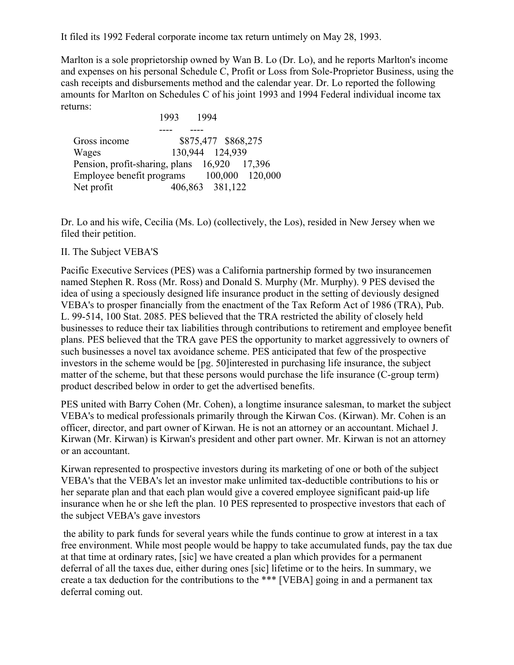It filed its 1992 Federal corporate income tax return untimely on May 28, 1993.

Marlton is a sole proprietorship owned by Wan B. Lo (Dr. Lo), and he reports Marlton's income and expenses on his personal Schedule C, Profit or Loss from Sole-Proprietor Business, using the cash receipts and disbursements method and the calendar year. Dr. Lo reported the following amounts for Marlton on Schedules C of his joint 1993 and 1994 Federal individual income tax returns:

 1993 1994 ---- ---- Gross income \$875,477 \$868,275 Wages 130,944 124,939 Pension, profit-sharing, plans 16,920 17,396 Employee benefit programs 100,000 120,000 Net profit 406,863 381,122

Dr. Lo and his wife, Cecilia (Ms. Lo) (collectively, the Los), resided in New Jersey when we filed their petition.

## II. The Subject VEBA'S

Pacific Executive Services (PES) was a California partnership formed by two insurancemen named Stephen R. Ross (Mr. Ross) and Donald S. Murphy (Mr. Murphy). 9 PES devised the idea of using a speciously designed life insurance product in the setting of deviously designed VEBA's to prosper financially from the enactment of the Tax Reform Act of 1986 (TRA), Pub. L. 99-514, 100 Stat. 2085. PES believed that the TRA restricted the ability of closely held businesses to reduce their tax liabilities through contributions to retirement and employee benefit plans. PES believed that the TRA gave PES the opportunity to market aggressively to owners of such businesses a novel tax avoidance scheme. PES anticipated that few of the prospective investors in the scheme would be [pg. 50]interested in purchasing life insurance, the subject matter of the scheme, but that these persons would purchase the life insurance (C-group term) product described below in order to get the advertised benefits.

PES united with Barry Cohen (Mr. Cohen), a longtime insurance salesman, to market the subject VEBA's to medical professionals primarily through the Kirwan Cos. (Kirwan). Mr. Cohen is an officer, director, and part owner of Kirwan. He is not an attorney or an accountant. Michael J. Kirwan (Mr. Kirwan) is Kirwan's president and other part owner. Mr. Kirwan is not an attorney or an accountant.

Kirwan represented to prospective investors during its marketing of one or both of the subject VEBA's that the VEBA's let an investor make unlimited tax-deductible contributions to his or her separate plan and that each plan would give a covered employee significant paid-up life insurance when he or she left the plan. 10 PES represented to prospective investors that each of the subject VEBA's gave investors

the ability to park funds for several years while the funds continue to grow at interest in a tax free environment. While most people would be happy to take accumulated funds, pay the tax due at that time at ordinary rates, [sic] we have created a plan which provides for a permanent deferral of all the taxes due, either during ones [sic] lifetime or to the heirs. In summary, we create a tax deduction for the contributions to the \*\*\* [VEBA] going in and a permanent tax deferral coming out.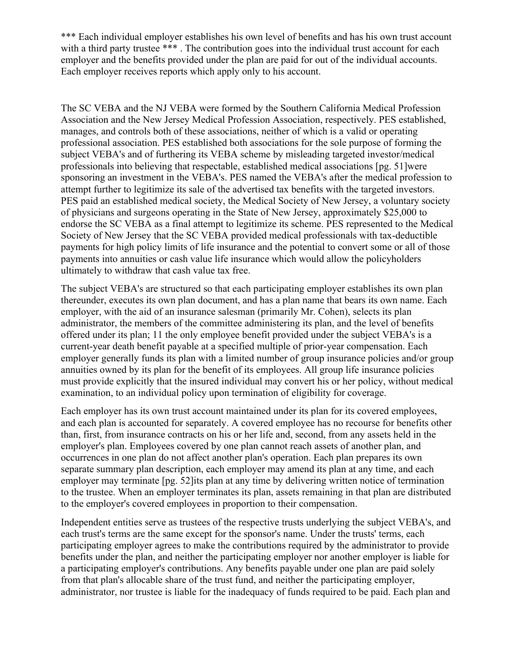\*\*\* Each individual employer establishes his own level of benefits and has his own trust account with a third party trustee \*\*\*. The contribution goes into the individual trust account for each employer and the benefits provided under the plan are paid for out of the individual accounts. Each employer receives reports which apply only to his account.

The SC VEBA and the NJ VEBA were formed by the Southern California Medical Profession Association and the New Jersey Medical Profession Association, respectively. PES established, manages, and controls both of these associations, neither of which is a valid or operating professional association. PES established both associations for the sole purpose of forming the subject VEBA's and of furthering its VEBA scheme by misleading targeted investor/medical professionals into believing that respectable, established medical associations [pg. 51]were sponsoring an investment in the VEBA's. PES named the VEBA's after the medical profession to attempt further to legitimize its sale of the advertised tax benefits with the targeted investors. PES paid an established medical society, the Medical Society of New Jersey, a voluntary society of physicians and surgeons operating in the State of New Jersey, approximately \$25,000 to endorse the SC VEBA as a final attempt to legitimize its scheme. PES represented to the Medical Society of New Jersey that the SC VEBA provided medical professionals with tax-deductible payments for high policy limits of life insurance and the potential to convert some or all of those payments into annuities or cash value life insurance which would allow the policyholders ultimately to withdraw that cash value tax free.

The subject VEBA's are structured so that each participating employer establishes its own plan thereunder, executes its own plan document, and has a plan name that bears its own name. Each employer, with the aid of an insurance salesman (primarily Mr. Cohen), selects its plan administrator, the members of the committee administering its plan, and the level of benefits offered under its plan; 11 the only employee benefit provided under the subject VEBA's is a current-year death benefit payable at a specified multiple of prior-year compensation. Each employer generally funds its plan with a limited number of group insurance policies and/or group annuities owned by its plan for the benefit of its employees. All group life insurance policies must provide explicitly that the insured individual may convert his or her policy, without medical examination, to an individual policy upon termination of eligibility for coverage.

Each employer has its own trust account maintained under its plan for its covered employees, and each plan is accounted for separately. A covered employee has no recourse for benefits other than, first, from insurance contracts on his or her life and, second, from any assets held in the employer's plan. Employees covered by one plan cannot reach assets of another plan, and occurrences in one plan do not affect another plan's operation. Each plan prepares its own separate summary plan description, each employer may amend its plan at any time, and each employer may terminate [pg. 52]its plan at any time by delivering written notice of termination to the trustee. When an employer terminates its plan, assets remaining in that plan are distributed to the employer's covered employees in proportion to their compensation.

Independent entities serve as trustees of the respective trusts underlying the subject VEBA's, and each trust's terms are the same except for the sponsor's name. Under the trusts' terms, each participating employer agrees to make the contributions required by the administrator to provide benefits under the plan, and neither the participating employer nor another employer is liable for a participating employer's contributions. Any benefits payable under one plan are paid solely from that plan's allocable share of the trust fund, and neither the participating employer, administrator, nor trustee is liable for the inadequacy of funds required to be paid. Each plan and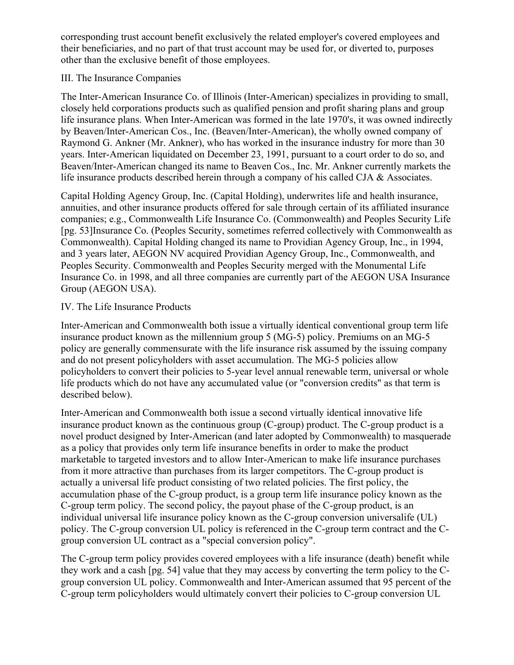corresponding trust account benefit exclusively the related employer's covered employees and their beneficiaries, and no part of that trust account may be used for, or diverted to, purposes other than the exclusive benefit of those employees.

## III. The Insurance Companies

The Inter-American Insurance Co. of Illinois (Inter-American) specializes in providing to small, closely held corporations products such as qualified pension and profit sharing plans and group life insurance plans. When Inter-American was formed in the late 1970's, it was owned indirectly by Beaven/Inter-American Cos., Inc. (Beaven/Inter-American), the wholly owned company of Raymond G. Ankner (Mr. Ankner), who has worked in the insurance industry for more than 30 years. Inter-American liquidated on December 23, 1991, pursuant to a court order to do so, and Beaven/Inter-American changed its name to Beaven Cos., Inc. Mr. Ankner currently markets the life insurance products described herein through a company of his called CJA & Associates.

Capital Holding Agency Group, Inc. (Capital Holding), underwrites life and health insurance, annuities, and other insurance products offered for sale through certain of its affiliated insurance companies; e.g., Commonwealth Life Insurance Co. (Commonwealth) and Peoples Security Life [pg. 53]Insurance Co. (Peoples Security, sometimes referred collectively with Commonwealth as Commonwealth). Capital Holding changed its name to Providian Agency Group, Inc., in 1994, and 3 years later, AEGON NV acquired Providian Agency Group, Inc., Commonwealth, and Peoples Security. Commonwealth and Peoples Security merged with the Monumental Life Insurance Co. in 1998, and all three companies are currently part of the AEGON USA Insurance Group (AEGON USA).

## IV. The Life Insurance Products

Inter-American and Commonwealth both issue a virtually identical conventional group term life insurance product known as the millennium group 5 (MG-5) policy. Premiums on an MG-5 policy are generally commensurate with the life insurance risk assumed by the issuing company and do not present policyholders with asset accumulation. The MG-5 policies allow policyholders to convert their policies to 5-year level annual renewable term, universal or whole life products which do not have any accumulated value (or "conversion credits" as that term is described below).

Inter-American and Commonwealth both issue a second virtually identical innovative life insurance product known as the continuous group (C-group) product. The C-group product is a novel product designed by Inter-American (and later adopted by Commonwealth) to masquerade as a policy that provides only term life insurance benefits in order to make the product marketable to targeted investors and to allow Inter-American to make life insurance purchases from it more attractive than purchases from its larger competitors. The C-group product is actually a universal life product consisting of two related policies. The first policy, the accumulation phase of the C-group product, is a group term life insurance policy known as the C-group term policy. The second policy, the payout phase of the C-group product, is an individual universal life insurance policy known as the C-group conversion universalife (UL) policy. The C-group conversion UL policy is referenced in the C-group term contract and the Cgroup conversion UL contract as a "special conversion policy".

The C-group term policy provides covered employees with a life insurance (death) benefit while they work and a cash [pg. 54] value that they may access by converting the term policy to the Cgroup conversion UL policy. Commonwealth and Inter-American assumed that 95 percent of the C-group term policyholders would ultimately convert their policies to C-group conversion UL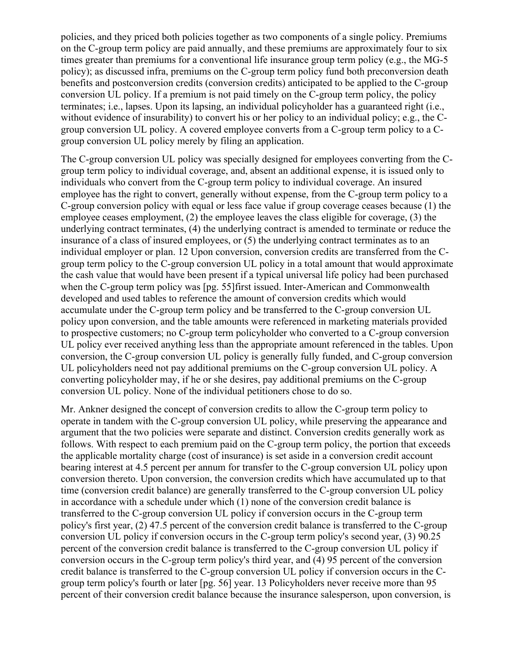policies, and they priced both policies together as two components of a single policy. Premiums on the C-group term policy are paid annually, and these premiums are approximately four to six times greater than premiums for a conventional life insurance group term policy (e.g., the MG-5 policy); as discussed infra, premiums on the C-group term policy fund both preconversion death benefits and postconversion credits (conversion credits) anticipated to be applied to the C-group conversion UL policy. If a premium is not paid timely on the C-group term policy, the policy terminates; i.e., lapses. Upon its lapsing, an individual policyholder has a guaranteed right (i.e., without evidence of insurability) to convert his or her policy to an individual policy; e.g., the Cgroup conversion UL policy. A covered employee converts from a C-group term policy to a Cgroup conversion UL policy merely by filing an application.

The C-group conversion UL policy was specially designed for employees converting from the Cgroup term policy to individual coverage, and, absent an additional expense, it is issued only to individuals who convert from the C-group term policy to individual coverage. An insured employee has the right to convert, generally without expense, from the C-group term policy to a C-group conversion policy with equal or less face value if group coverage ceases because (1) the employee ceases employment, (2) the employee leaves the class eligible for coverage, (3) the underlying contract terminates, (4) the underlying contract is amended to terminate or reduce the insurance of a class of insured employees, or (5) the underlying contract terminates as to an individual employer or plan. 12 Upon conversion, conversion credits are transferred from the Cgroup term policy to the C-group conversion UL policy in a total amount that would approximate the cash value that would have been present if a typical universal life policy had been purchased when the C-group term policy was [pg. 55]first issued. Inter-American and Commonwealth developed and used tables to reference the amount of conversion credits which would accumulate under the C-group term policy and be transferred to the C-group conversion UL policy upon conversion, and the table amounts were referenced in marketing materials provided to prospective customers; no C-group term policyholder who converted to a C-group conversion UL policy ever received anything less than the appropriate amount referenced in the tables. Upon conversion, the C-group conversion UL policy is generally fully funded, and C-group conversion UL policyholders need not pay additional premiums on the C-group conversion UL policy. A converting policyholder may, if he or she desires, pay additional premiums on the C-group conversion UL policy. None of the individual petitioners chose to do so.

Mr. Ankner designed the concept of conversion credits to allow the C-group term policy to operate in tandem with the C-group conversion UL policy, while preserving the appearance and argument that the two policies were separate and distinct. Conversion credits generally work as follows. With respect to each premium paid on the C-group term policy, the portion that exceeds the applicable mortality charge (cost of insurance) is set aside in a conversion credit account bearing interest at 4.5 percent per annum for transfer to the C-group conversion UL policy upon conversion thereto. Upon conversion, the conversion credits which have accumulated up to that time (conversion credit balance) are generally transferred to the C-group conversion UL policy in accordance with a schedule under which (1) none of the conversion credit balance is transferred to the C-group conversion UL policy if conversion occurs in the C-group term policy's first year, (2) 47.5 percent of the conversion credit balance is transferred to the C-group conversion UL policy if conversion occurs in the C-group term policy's second year, (3) 90.25 percent of the conversion credit balance is transferred to the C-group conversion UL policy if conversion occurs in the C-group term policy's third year, and (4) 95 percent of the conversion credit balance is transferred to the C-group conversion UL policy if conversion occurs in the Cgroup term policy's fourth or later [pg. 56] year. 13 Policyholders never receive more than 95 percent of their conversion credit balance because the insurance salesperson, upon conversion, is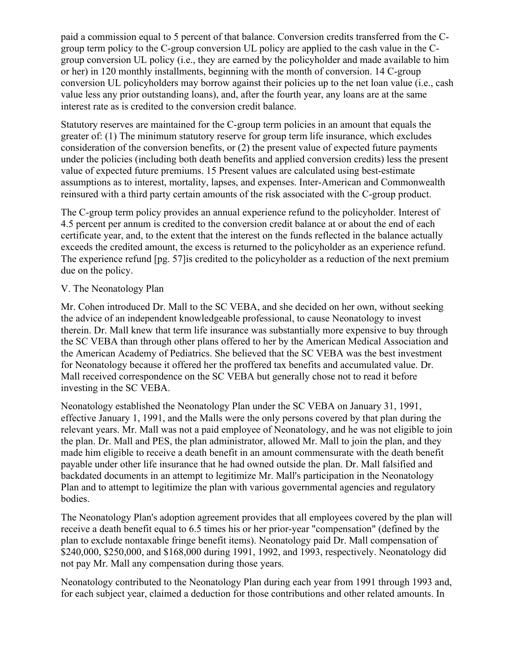paid a commission equal to 5 percent of that balance. Conversion credits transferred from the Cgroup term policy to the C-group conversion UL policy are applied to the cash value in the Cgroup conversion UL policy (i.e., they are earned by the policyholder and made available to him or her) in 120 monthly installments, beginning with the month of conversion. 14 C-group conversion UL policyholders may borrow against their policies up to the net loan value (i.e., cash value less any prior outstanding loans), and, after the fourth year, any loans are at the same interest rate as is credited to the conversion credit balance.

Statutory reserves are maintained for the C-group term policies in an amount that equals the greater of: (1) The minimum statutory reserve for group term life insurance, which excludes consideration of the conversion benefits, or (2) the present value of expected future payments under the policies (including both death benefits and applied conversion credits) less the present value of expected future premiums. 15 Present values are calculated using best-estimate assumptions as to interest, mortality, lapses, and expenses. Inter-American and Commonwealth reinsured with a third party certain amounts of the risk associated with the C-group product.

The C-group term policy provides an annual experience refund to the policyholder. Interest of 4.5 percent per annum is credited to the conversion credit balance at or about the end of each certificate year, and, to the extent that the interest on the funds reflected in the balance actually exceeds the credited amount, the excess is returned to the policyholder as an experience refund. The experience refund [pg. 57]is credited to the policyholder as a reduction of the next premium due on the policy.

# V. The Neonatology Plan

Mr. Cohen introduced Dr. Mall to the SC VEBA, and she decided on her own, without seeking the advice of an independent knowledgeable professional, to cause Neonatology to invest therein. Dr. Mall knew that term life insurance was substantially more expensive to buy through the SC VEBA than through other plans offered to her by the American Medical Association and the American Academy of Pediatrics. She believed that the SC VEBA was the best investment for Neonatology because it offered her the proffered tax benefits and accumulated value. Dr. Mall received correspondence on the SC VEBA but generally chose not to read it before investing in the SC VEBA.

Neonatology established the Neonatology Plan under the SC VEBA on January 31, 1991, effective January 1, 1991, and the Malls were the only persons covered by that plan during the relevant years. Mr. Mall was not a paid employee of Neonatology, and he was not eligible to join the plan. Dr. Mall and PES, the plan administrator, allowed Mr. Mall to join the plan, and they made him eligible to receive a death benefit in an amount commensurate with the death benefit payable under other life insurance that he had owned outside the plan. Dr. Mall falsified and backdated documents in an attempt to legitimize Mr. Mall's participation in the Neonatology Plan and to attempt to legitimize the plan with various governmental agencies and regulatory bodies.

The Neonatology Plan's adoption agreement provides that all employees covered by the plan will receive a death benefit equal to 6.5 times his or her prior-year "compensation" (defined by the plan to exclude nontaxable fringe benefit items). Neonatology paid Dr. Mall compensation of \$240,000, \$250,000, and \$168,000 during 1991, 1992, and 1993, respectively. Neonatology did not pay Mr. Mall any compensation during those years.

Neonatology contributed to the Neonatology Plan during each year from 1991 through 1993 and, for each subject year, claimed a deduction for those contributions and other related amounts. In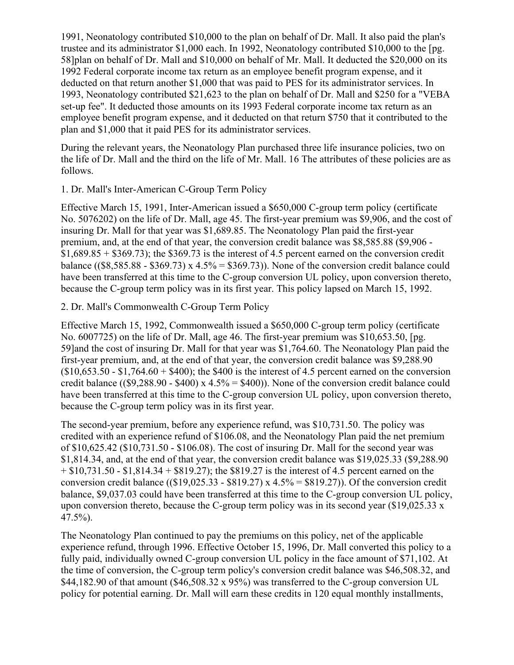1991, Neonatology contributed \$10,000 to the plan on behalf of Dr. Mall. It also paid the plan's trustee and its administrator \$1,000 each. In 1992, Neonatology contributed \$10,000 to the [pg. 58]plan on behalf of Dr. Mall and \$10,000 on behalf of Mr. Mall. It deducted the \$20,000 on its 1992 Federal corporate income tax return as an employee benefit program expense, and it deducted on that return another \$1,000 that was paid to PES for its administrator services. In 1993, Neonatology contributed \$21,623 to the plan on behalf of Dr. Mall and \$250 for a "VEBA set-up fee". It deducted those amounts on its 1993 Federal corporate income tax return as an employee benefit program expense, and it deducted on that return \$750 that it contributed to the plan and \$1,000 that it paid PES for its administrator services.

During the relevant years, the Neonatology Plan purchased three life insurance policies, two on the life of Dr. Mall and the third on the life of Mr. Mall. 16 The attributes of these policies are as follows.

# 1. Dr. Mall's Inter-American C-Group Term Policy

Effective March 15, 1991, Inter-American issued a \$650,000 C-group term policy (certificate No. 5076202) on the life of Dr. Mall, age 45. The first-year premium was \$9,906, and the cost of insuring Dr. Mall for that year was \$1,689.85. The Neonatology Plan paid the first-year premium, and, at the end of that year, the conversion credit balance was \$8,585.88 (\$9,906 -  $$1,689.85 + $369.73$ ; the \$369.73 is the interest of 4.5 percent earned on the conversion credit balance ((\$8,585.88 -  $$369.73$ ) x  $4.5\% = $369.73$ )). None of the conversion credit balance could have been transferred at this time to the C-group conversion UL policy, upon conversion thereto, because the C-group term policy was in its first year. This policy lapsed on March 15, 1992.

# 2. Dr. Mall's Commonwealth C-Group Term Policy

Effective March 15, 1992, Commonwealth issued a \$650,000 C-group term policy (certificate No. 6007725) on the life of Dr. Mall, age 46. The first-year premium was \$10,653.50, [pg. 59]and the cost of insuring Dr. Mall for that year was \$1,764.60. The Neonatology Plan paid the first-year premium, and, at the end of that year, the conversion credit balance was \$9,288.90  $(S10.653.50 - S1.764.60 + S400)$ ; the \$400 is the interest of 4.5 percent earned on the conversion credit balance ((\$9,288.90 - \$400) x  $4.5\%$  = \$400)). None of the conversion credit balance could have been transferred at this time to the C-group conversion UL policy, upon conversion thereto, because the C-group term policy was in its first year.

The second-year premium, before any experience refund, was \$10,731.50. The policy was credited with an experience refund of \$106.08, and the Neonatology Plan paid the net premium of \$10,625.42 (\$10,731.50 - \$106.08). The cost of insuring Dr. Mall for the second year was \$1,814.34, and, at the end of that year, the conversion credit balance was \$19,025.33 (\$9,288.90  $+ $10,731.50 - $1,814.34 + $819.27$ ; the \$819.27 is the interest of 4.5 percent earned on the conversion credit balance ((\$19,025.33 -  $$819.27$ ) x 4.5% = \$819.27)). Of the conversion credit balance, \$9,037.03 could have been transferred at this time to the C-group conversion UL policy, upon conversion thereto, because the C-group term policy was in its second year (\$19,025.33 x 47.5%).

The Neonatology Plan continued to pay the premiums on this policy, net of the applicable experience refund, through 1996. Effective October 15, 1996, Dr. Mall converted this policy to a fully paid, individually owned C-group conversion UL policy in the face amount of \$71,102. At the time of conversion, the C-group term policy's conversion credit balance was \$46,508.32, and \$44,182.90 of that amount (\$46,508.32 x 95%) was transferred to the C-group conversion UL policy for potential earning. Dr. Mall will earn these credits in 120 equal monthly installments,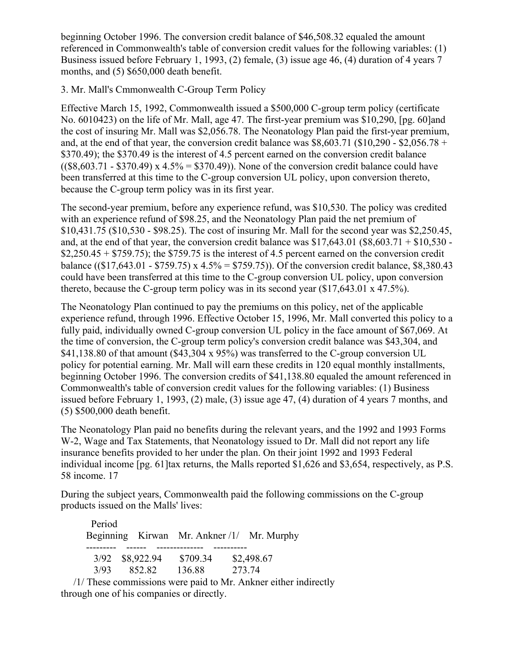beginning October 1996. The conversion credit balance of \$46,508.32 equaled the amount referenced in Commonwealth's table of conversion credit values for the following variables: (1) Business issued before February 1, 1993, (2) female, (3) issue age 46, (4) duration of 4 years 7 months, and (5) \$650,000 death benefit.

## 3. Mr. Mall's Cmmonwealth C-Group Term Policy

Effective March 15, 1992, Commonwealth issued a \$500,000 C-group term policy (certificate No. 6010423) on the life of Mr. Mall, age 47. The first-year premium was \$10,290, [pg. 60]and the cost of insuring Mr. Mall was \$2,056.78. The Neonatology Plan paid the first-year premium, and, at the end of that year, the conversion credit balance was  $\frac{$8,603.71}{\$10,290}$  -  $\frac{$2,056.78 + $2,056.78 \text{ m}$ \$370.49); the \$370.49 is the interest of 4.5 percent earned on the conversion credit balance  $((\$8,603.71 - \$370.49) \times 4.5\% = \$370.49)$ . None of the conversion credit balance could have been transferred at this time to the C-group conversion UL policy, upon conversion thereto, because the C-group term policy was in its first year.

The second-year premium, before any experience refund, was \$10,530. The policy was credited with an experience refund of \$98.25, and the Neonatology Plan paid the net premium of \$10,431.75 (\$10,530 - \$98.25). The cost of insuring Mr. Mall for the second year was \$2,250.45, and, at the end of that year, the conversion credit balance was  $$17,643.01$  ( $$8,603.71 + $10,530$ )  $$2,250.45 + $759.75$ ; the \$759.75 is the interest of 4.5 percent earned on the conversion credit balance ((\$17,643.01 - \$759.75) x  $4.5\%$  = \$759.75)). Of the conversion credit balance, \$8,380.43 could have been transferred at this time to the C-group conversion UL policy, upon conversion thereto, because the C-group term policy was in its second year (\$17,643.01 x 47.5%).

The Neonatology Plan continued to pay the premiums on this policy, net of the applicable experience refund, through 1996. Effective October 15, 1996, Mr. Mall converted this policy to a fully paid, individually owned C-group conversion UL policy in the face amount of \$67,069. At the time of conversion, the C-group term policy's conversion credit balance was \$43,304, and \$41,138.80 of that amount (\$43,304 x 95%) was transferred to the C-group conversion UL policy for potential earning. Mr. Mall will earn these credits in 120 equal monthly installments, beginning October 1996. The conversion credits of \$41,138.80 equaled the amount referenced in Commonwealth's table of conversion credit values for the following variables: (1) Business issued before February 1, 1993, (2) male, (3) issue age 47, (4) duration of 4 years 7 months, and (5) \$500,000 death benefit.

The Neonatology Plan paid no benefits during the relevant years, and the 1992 and 1993 Forms W-2, Wage and Tax Statements, that Neonatology issued to Dr. Mall did not report any life insurance benefits provided to her under the plan. On their joint 1992 and 1993 Federal individual income [pg. 61]tax returns, the Malls reported \$1,626 and \$3,654, respectively, as P.S. 58 income. 17

During the subject years, Commonwealth paid the following commissions on the C-group products issued on the Malls' lives:

 Period Beginning Kirwan Mr. Ankner /1/ Mr. Murphy --------- ------ -------------- ---------- 3/92 \$8,922.94 \$709.34 \$2,498.67 3/93 852.82 136.88 273.74

 /1/ These commissions were paid to Mr. Ankner either indirectly through one of his companies or directly.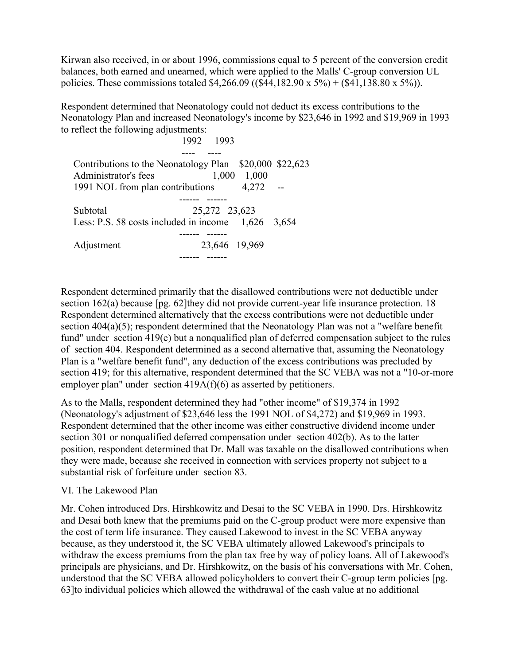Kirwan also received, in or about 1996, commissions equal to 5 percent of the conversion credit balances, both earned and unearned, which were applied to the Malls' C-group conversion UL policies. These commissions totaled \$4,266.09 ( $(\$44,182.90 \times 5\%) + (\$41,138.80 \times 5\%)$ ).

Respondent determined that Neonatology could not deduct its excess contributions to the Neonatology Plan and increased Neonatology's income by \$23,646 in 1992 and \$19,969 in 1993 to reflect the following adjustments:

 1992 1993 ---- ---- Contributions to the Neonatology Plan \$20,000 \$22,623 Administrator's fees 1,000 1,000 1991 NOL from plan contributions 4,272 -- ------ ------ Subtotal 25,272 23,623 Less: P.S. 58 costs included in income 1,626 3,654 ------ ------ Adjustment 23,646 19,969 ------ ------

Respondent determined primarily that the disallowed contributions were not deductible under section 162(a) because [pg. 62]they did not provide current-year life insurance protection. 18 Respondent determined alternatively that the excess contributions were not deductible under section 404(a)(5); respondent determined that the Neonatology Plan was not a "welfare benefit" fund" under section 419(e) but a nonqualified plan of deferred compensation subject to the rules of section 404. Respondent determined as a second alternative that, assuming the Neonatology Plan is a "welfare benefit fund", any deduction of the excess contributions was precluded by section 419; for this alternative, respondent determined that the SC VEBA was not a "10-or-more employer plan" under section 419A(f)(6) as asserted by petitioners.

As to the Malls, respondent determined they had "other income" of \$19,374 in 1992 (Neonatology's adjustment of \$23,646 less the 1991 NOL of \$4,272) and \$19,969 in 1993. Respondent determined that the other income was either constructive dividend income under section 301 or nonqualified deferred compensation under section 402(b). As to the latter position, respondent determined that Dr. Mall was taxable on the disallowed contributions when they were made, because she received in connection with services property not subject to a substantial risk of forfeiture under section 83.

# VI. The Lakewood Plan

Mr. Cohen introduced Drs. Hirshkowitz and Desai to the SC VEBA in 1990. Drs. Hirshkowitz and Desai both knew that the premiums paid on the C-group product were more expensive than the cost of term life insurance. They caused Lakewood to invest in the SC VEBA anyway because, as they understood it, the SC VEBA ultimately allowed Lakewood's principals to withdraw the excess premiums from the plan tax free by way of policy loans. All of Lakewood's principals are physicians, and Dr. Hirshkowitz, on the basis of his conversations with Mr. Cohen, understood that the SC VEBA allowed policyholders to convert their C-group term policies [pg. 63]to individual policies which allowed the withdrawal of the cash value at no additional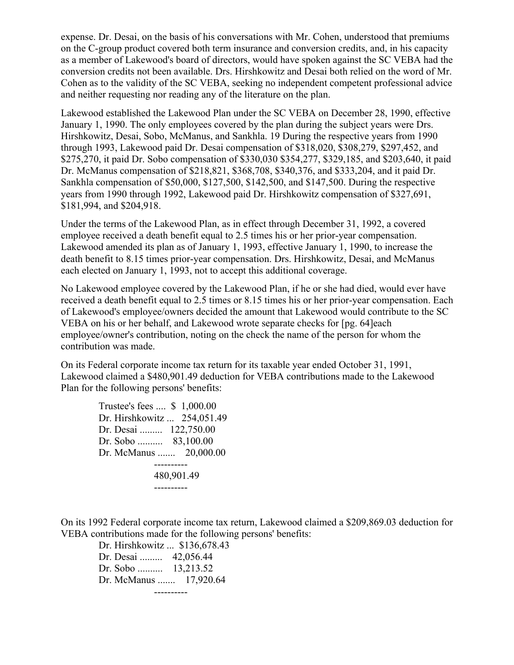expense. Dr. Desai, on the basis of his conversations with Mr. Cohen, understood that premiums on the C-group product covered both term insurance and conversion credits, and, in his capacity as a member of Lakewood's board of directors, would have spoken against the SC VEBA had the conversion credits not been available. Drs. Hirshkowitz and Desai both relied on the word of Mr. Cohen as to the validity of the SC VEBA, seeking no independent competent professional advice and neither requesting nor reading any of the literature on the plan.

Lakewood established the Lakewood Plan under the SC VEBA on December 28, 1990, effective January 1, 1990. The only employees covered by the plan during the subject years were Drs. Hirshkowitz, Desai, Sobo, McManus, and Sankhla. 19 During the respective years from 1990 through 1993, Lakewood paid Dr. Desai compensation of \$318,020, \$308,279, \$297,452, and \$275,270, it paid Dr. Sobo compensation of \$330,030 \$354,277, \$329,185, and \$203,640, it paid Dr. McManus compensation of \$218,821, \$368,708, \$340,376, and \$333,204, and it paid Dr. Sankhla compensation of \$50,000, \$127,500, \$142,500, and \$147,500. During the respective years from 1990 through 1992, Lakewood paid Dr. Hirshkowitz compensation of \$327,691, \$181,994, and \$204,918.

Under the terms of the Lakewood Plan, as in effect through December 31, 1992, a covered employee received a death benefit equal to 2.5 times his or her prior-year compensation. Lakewood amended its plan as of January 1, 1993, effective January 1, 1990, to increase the death benefit to 8.15 times prior-year compensation. Drs. Hirshkowitz, Desai, and McManus each elected on January 1, 1993, not to accept this additional coverage.

No Lakewood employee covered by the Lakewood Plan, if he or she had died, would ever have received a death benefit equal to 2.5 times or 8.15 times his or her prior-year compensation. Each of Lakewood's employee/owners decided the amount that Lakewood would contribute to the SC VEBA on his or her behalf, and Lakewood wrote separate checks for [pg. 64]each employee/owner's contribution, noting on the check the name of the person for whom the contribution was made.

On its Federal corporate income tax return for its taxable year ended October 31, 1991, Lakewood claimed a \$480,901.49 deduction for VEBA contributions made to the Lakewood Plan for the following persons' benefits:

 Trustee's fees .... \$ 1,000.00 Dr. Hirshkowitz ... 254,051.49 Dr. Desai ......... 122,750.00 Dr. Sobo .......... 83,100.00 Dr. McManus ....... 20,000.00 ---------- 480,901.49 ----------

On its 1992 Federal corporate income tax return, Lakewood claimed a \$209,869.03 deduction for VEBA contributions made for the following persons' benefits:

 Dr. Hirshkowitz ... \$136,678.43 Dr. Desai ......... 42,056.44 Dr. Sobo .......... 13,213.52 Dr. McManus ....... 17,920.64 ----------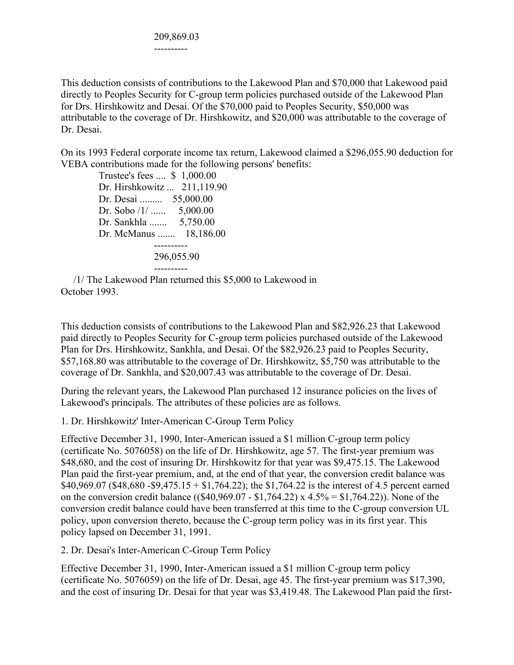209,869.03 ----------

This deduction consists of contributions to the Lakewood Plan and \$70,000 that Lakewood paid directly to Peoples Security for C-group term policies purchased outside of the Lakewood Plan for Drs. Hirshkowitz and Desai. Of the \$70,000 paid to Peoples Security, \$50,000 was attributable to the coverage of Dr. Hirshkowitz, and \$20,000 was attributable to the coverage of Dr. Desai.

On its 1993 Federal corporate income tax return, Lakewood claimed a \$296,055.90 deduction for VEBA contributions made for the following persons' benefits:

 Trustee's fees .... \$ 1,000.00 Dr. Hirshkowitz ... 211,119.90 Dr. Desai ......... 55,000.00 Dr. Sobo /1/ ...... 5,000.00 Dr. Sankhla ....... 5,750.00 Dr. McManus ....... 18,186.00 ---------- 296,055.90 ----------

 /1/ The Lakewood Plan returned this \$5,000 to Lakewood in October 1993.

This deduction consists of contributions to the Lakewood Plan and \$82,926.23 that Lakewood paid directly to Peoples Security for C-group term policies purchased outside of the Lakewood Plan for Drs. Hirshkowitz, Sankhla, and Desai. Of the \$82,926.23 paid to Peoples Security, \$57,168.80 was attributable to the coverage of Dr. Hirshkowitz, \$5,750 was attributable to the coverage of Dr. Sankhla, and \$20,007.43 was attributable to the coverage of Dr. Desai.

During the relevant years, the Lakewood Plan purchased 12 insurance policies on the lives of Lakewood's principals. The attributes of these policies are as follows.

1. Dr. Hirshkowitz' Inter-American C-Group Term Policy

Effective December 31, 1990, Inter-American issued a \$1 million C-group term policy (certificate No. 5076058) on the life of Dr. Hirshkowitz, age 57. The first-year premium was \$48,680, and the cost of insuring Dr. Hirshkowitz for that year was \$9,475.15. The Lakewood Plan paid the first-year premium, and, at the end of that year, the conversion credit balance was \$40,969.07 (\$48,680 - \$9,475.15 + \$1,764.22); the \$1,764.22 is the interest of 4.5 percent earned on the conversion credit balance ((\$40,969.07 - \$1,764.22) x  $4.5\% = $1,764.22$ )). None of the conversion credit balance could have been transferred at this time to the C-group conversion UL policy, upon conversion thereto, because the C-group term policy was in its first year. This policy lapsed on December 31, 1991.

2. Dr. Desai's Inter-American C-Group Term Policy

Effective December 31, 1990, Inter-American issued a \$1 million C-group term policy (certificate No. 5076059) on the life of Dr. Desai, age 45. The first-year premium was \$17,390, and the cost of insuring Dr. Desai for that year was \$3,419.48. The Lakewood Plan paid the first-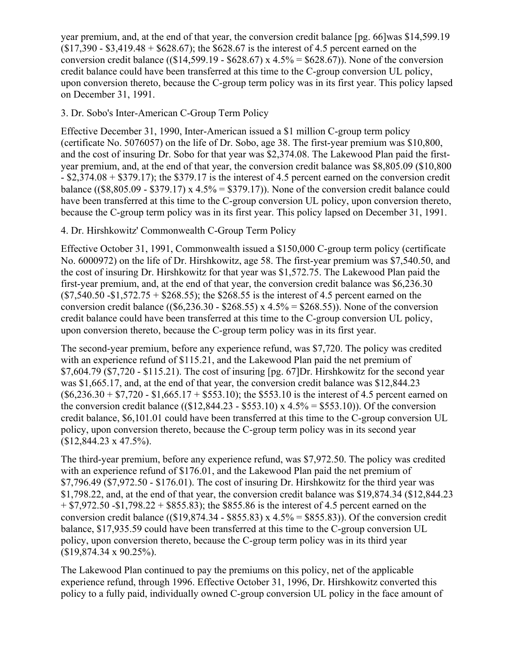year premium, and, at the end of that year, the conversion credit balance [pg. 66]was \$14,599.19  $(17,390 - 33,419.48 + 628.67)$ ; the  $$628.67$  is the interest of 4.5 percent earned on the conversion credit balance ((\$14,599.19 - \$628.67) x  $4.5\% = $628.67$ )). None of the conversion credit balance could have been transferred at this time to the C-group conversion UL policy, upon conversion thereto, because the C-group term policy was in its first year. This policy lapsed on December 31, 1991.

## 3. Dr. Sobo's Inter-American C-Group Term Policy

Effective December 31, 1990, Inter-American issued a \$1 million C-group term policy (certificate No. 5076057) on the life of Dr. Sobo, age 38. The first-year premium was \$10,800, and the cost of insuring Dr. Sobo for that year was \$2,374.08. The Lakewood Plan paid the firstyear premium, and, at the end of that year, the conversion credit balance was \$8,805.09 (\$10,800 - \$2,374.08 + \$379.17); the \$379.17 is the interest of 4.5 percent earned on the conversion credit balance (( $$8,805.09 - $379.17$ ) x  $4.5\% = $379.17$ ). None of the conversion credit balance could have been transferred at this time to the C-group conversion UL policy, upon conversion thereto, because the C-group term policy was in its first year. This policy lapsed on December 31, 1991.

## 4. Dr. Hirshkowitz' Commonwealth C-Group Term Policy

Effective October 31, 1991, Commonwealth issued a \$150,000 C-group term policy (certificate No. 6000972) on the life of Dr. Hirshkowitz, age 58. The first-year premium was \$7,540.50, and the cost of insuring Dr. Hirshkowitz for that year was \$1,572.75. The Lakewood Plan paid the first-year premium, and, at the end of that year, the conversion credit balance was \$6,236.30  $($7,540.50 - $1,572.75 + $268.55)$ ; the \$268.55 is the interest of 4.5 percent earned on the conversion credit balance ((\$6,236.30 - \$268.55) x  $4.5\%$  = \$268.55)). None of the conversion credit balance could have been transferred at this time to the C-group conversion UL policy, upon conversion thereto, because the C-group term policy was in its first year.

The second-year premium, before any experience refund, was \$7,720. The policy was credited with an experience refund of \$115.21, and the Lakewood Plan paid the net premium of  $$7,604.79$  (\$7,720 - \$115.21). The cost of insuring [pg. 67]Dr. Hirshkowitz for the second year was \$1,665.17, and, at the end of that year, the conversion credit balance was \$12,844.23  $($ \$6,236.30 + \$7,720 - \$1,665.17 + \$553.10); the \$553.10 is the interest of 4.5 percent earned on the conversion credit balance ((\$12,844.23 - \$553.10) x  $4.5\% = $553.10$ )). Of the conversion credit balance, \$6,101.01 could have been transferred at this time to the C-group conversion UL policy, upon conversion thereto, because the C-group term policy was in its second year  $$12,844.23 \times 47.5\%$ ).

The third-year premium, before any experience refund, was \$7,972.50. The policy was credited with an experience refund of \$176.01, and the Lakewood Plan paid the net premium of \$7,796.49 (\$7,972.50 - \$176.01). The cost of insuring Dr. Hirshkowitz for the third year was \$1,798.22, and, at the end of that year, the conversion credit balance was \$19,874.34 (\$12,844.23  $+ $7,972.50 - $1,798.22 + $855.83$ ; the \$855.86 is the interest of 4.5 percent earned on the conversion credit balance ((\$19,874.34 - \$855.83) x  $4.5\%$  = \$855.83)). Of the conversion credit balance, \$17,935.59 could have been transferred at this time to the C-group conversion UL policy, upon conversion thereto, because the C-group term policy was in its third year (\$19,874.34 x 90.25%).

The Lakewood Plan continued to pay the premiums on this policy, net of the applicable experience refund, through 1996. Effective October 31, 1996, Dr. Hirshkowitz converted this policy to a fully paid, individually owned C-group conversion UL policy in the face amount of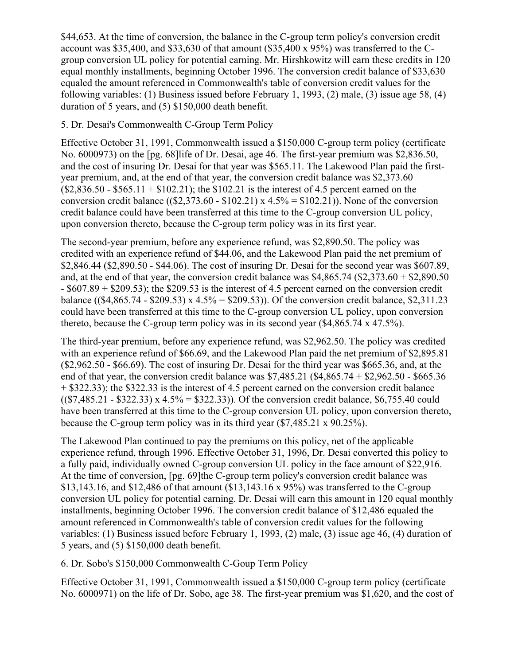\$44,653. At the time of conversion, the balance in the C-group term policy's conversion credit account was \$35,400, and \$33,630 of that amount (\$35,400 x 95%) was transferred to the Cgroup conversion UL policy for potential earning. Mr. Hirshkowitz will earn these credits in 120 equal monthly installments, beginning October 1996. The conversion credit balance of \$33,630 equaled the amount referenced in Commonwealth's table of conversion credit values for the following variables: (1) Business issued before February 1, 1993, (2) male, (3) issue age 58, (4) duration of 5 years, and (5) \$150,000 death benefit.

# 5. Dr. Desai's Commonwealth C-Group Term Policy

Effective October 31, 1991, Commonwealth issued a \$150,000 C-group term policy (certificate No. 6000973) on the [pg. 68]life of Dr. Desai, age 46. The first-year premium was \$2,836.50, and the cost of insuring Dr. Desai for that year was \$565.11. The Lakewood Plan paid the firstyear premium, and, at the end of that year, the conversion credit balance was \$2,373.60  $($2,836.50 - $565.11 + $102.21)$ ; the \$102.21 is the interest of 4.5 percent earned on the conversion credit balance ( $(\$2,373.60 - \$102.21)$  x  $4.5\% = \$102.21$ )). None of the conversion credit balance could have been transferred at this time to the C-group conversion UL policy, upon conversion thereto, because the C-group term policy was in its first year.

The second-year premium, before any experience refund, was \$2,890.50. The policy was credited with an experience refund of \$44.06, and the Lakewood Plan paid the net premium of \$2,846.44 (\$2,890.50 - \$44.06). The cost of insuring Dr. Desai for the second year was \$607.89, and, at the end of that year, the conversion credit balance was  $$4,865.74$  ( $$2,373.60 + $2,890.50$ ) - \$607.89 + \$209.53); the \$209.53 is the interest of 4.5 percent earned on the conversion credit balance ((\$4,865.74 - \$209.53) x 4.5% = \$209.53)). Of the conversion credit balance, \$2,311.23 could have been transferred at this time to the C-group conversion UL policy, upon conversion thereto, because the C-group term policy was in its second year (\$4,865.74 x 47.5%).

The third-year premium, before any experience refund, was \$2,962.50. The policy was credited with an experience refund of \$66.69, and the Lakewood Plan paid the net premium of \$2,895.81 (\$2,962.50 - \$66.69). The cost of insuring Dr. Desai for the third year was \$665.36, and, at the end of that year, the conversion credit balance was  $$7,485.21$  ( $$4,865.74 + $2,962.50 - $665.36$ ) + \$322.33); the \$322.33 is the interest of 4.5 percent earned on the conversion credit balance  $((\$7,485.21 - \$322.33) \times 4.5\% = \$322.33)$ . Of the conversion credit balance, \$6,755.40 could have been transferred at this time to the C-group conversion UL policy, upon conversion thereto, because the C-group term policy was in its third year (\$7,485.21 x 90.25%).

The Lakewood Plan continued to pay the premiums on this policy, net of the applicable experience refund, through 1996. Effective October 31, 1996, Dr. Desai converted this policy to a fully paid, individually owned C-group conversion UL policy in the face amount of \$22,916. At the time of conversion, [pg. 69]the C-group term policy's conversion credit balance was \$13,143.16, and \$12,486 of that amount (\$13,143.16 x 95%) was transferred to the C-group conversion UL policy for potential earning. Dr. Desai will earn this amount in 120 equal monthly installments, beginning October 1996. The conversion credit balance of \$12,486 equaled the amount referenced in Commonwealth's table of conversion credit values for the following variables: (1) Business issued before February 1, 1993, (2) male, (3) issue age 46, (4) duration of 5 years, and (5) \$150,000 death benefit.

6. Dr. Sobo's \$150,000 Commonwealth C-Goup Term Policy

Effective October 31, 1991, Commonwealth issued a \$150,000 C-group term policy (certificate No. 6000971) on the life of Dr. Sobo, age 38. The first-year premium was \$1,620, and the cost of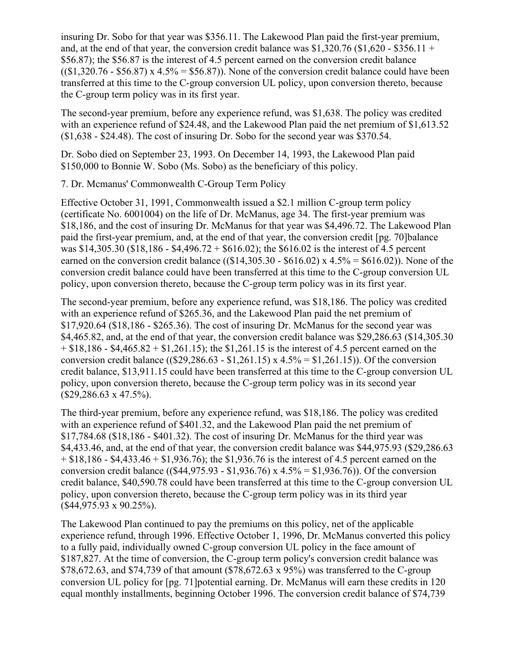insuring Dr. Sobo for that year was \$356.11. The Lakewood Plan paid the first-year premium, and, at the end of that year, the conversion credit balance was \$1,320.76 (\$1,620 - \$356.11 + \$56.87); the \$56.87 is the interest of 4.5 percent earned on the conversion credit balance  $((\$1,320.76 - \$56.87) \times 4.5\% = \$56.87)$ . None of the conversion credit balance could have been transferred at this time to the C-group conversion UL policy, upon conversion thereto, because the C-group term policy was in its first year.

The second-year premium, before any experience refund, was \$1,638. The policy was credited with an experience refund of \$24.48, and the Lakewood Plan paid the net premium of \$1,613.52 (\$1,638 - \$24.48). The cost of insuring Dr. Sobo for the second year was \$370.54.

Dr. Sobo died on September 23, 1993. On December 14, 1993, the Lakewood Plan paid \$150,000 to Bonnie W. Sobo (Ms. Sobo) as the beneficiary of this policy.

7. Dr. Mcmanus' Commonwealth C-Group Term Policy

Effective October 31, 1991, Commonwealth issued a \$2.1 million C-group term policy (certificate No. 6001004) on the life of Dr. McManus, age 34. The first-year premium was \$18,186, and the cost of insuring Dr. McManus for that year was \$4,496.72. The Lakewood Plan paid the first-year premium, and, at the end of that year, the conversion credit [pg. 70]balance was \$14,305.30 (\$18,186 - \$4,496.72 + \$616.02); the \$616.02 is the interest of 4.5 percent earned on the conversion credit balance ( $(\$14,305.30 - \$616.02) \times 4.5\% = \$616.02)$ ). None of the conversion credit balance could have been transferred at this time to the C-group conversion UL policy, upon conversion thereto, because the C-group term policy was in its first year.

The second-year premium, before any experience refund, was \$18,186. The policy was credited with an experience refund of \$265.36, and the Lakewood Plan paid the net premium of \$17,920.64 (\$18,186 - \$265.36). The cost of insuring Dr. McManus for the second year was \$4,465.82, and, at the end of that year, the conversion credit balance was \$29,286.63 (\$14,305.30  $+ $18,186 - $4,465.82 + $1,261.15$ ; the \$1,261.15 is the interest of 4.5 percent earned on the conversion credit balance ((\$29,286.63 - \$1,261.15) x  $4.5\% = $1,261.15$ )). Of the conversion credit balance, \$13,911.15 could have been transferred at this time to the C-group conversion UL policy, upon conversion thereto, because the C-group term policy was in its second year  $$29,286.63 \times 47.5\%$ ).

The third-year premium, before any experience refund, was \$18,186. The policy was credited with an experience refund of \$401.32, and the Lakewood Plan paid the net premium of \$17,784.68 (\$18,186 - \$401.32). The cost of insuring Dr. McManus for the third year was \$4,433.46, and, at the end of that year, the conversion credit balance was \$44,975.93 (\$29,286.63  $+ $18,186 - $4,433.46 + $1,936.76$ ; the \$1,936.76 is the interest of 4.5 percent earned on the conversion credit balance ((\$44,975.93 - \$1,936.76) x  $4.5\% = $1,936.76$ )). Of the conversion credit balance, \$40,590.78 could have been transferred at this time to the C-group conversion UL policy, upon conversion thereto, because the C-group term policy was in its third year (\$44,975.93 x 90.25%).

The Lakewood Plan continued to pay the premiums on this policy, net of the applicable experience refund, through 1996. Effective October 1, 1996, Dr. McManus converted this policy to a fully paid, individually owned C-group conversion UL policy in the face amount of \$187,827. At the time of conversion, the C-group term policy's conversion credit balance was \$78,672.63, and \$74,739 of that amount (\$78,672.63 x 95%) was transferred to the C-group conversion UL policy for [pg. 71]potential earning. Dr. McManus will earn these credits in 120 equal monthly installments, beginning October 1996. The conversion credit balance of \$74,739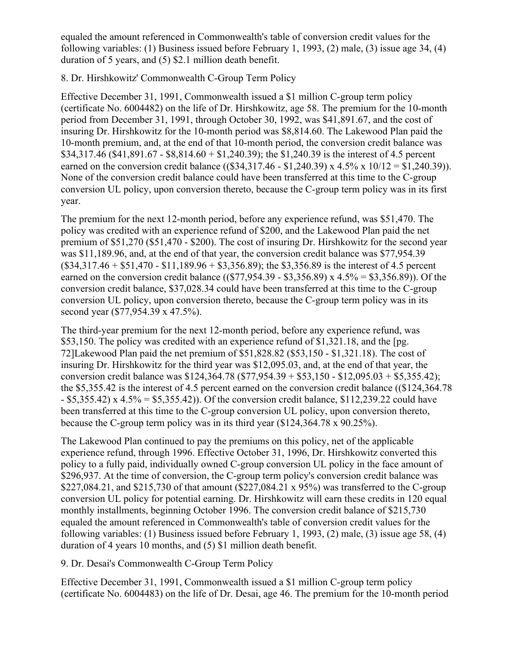equaled the amount referenced in Commonwealth's table of conversion credit values for the following variables: (1) Business issued before February 1, 1993, (2) male, (3) issue age 34, (4) duration of 5 years, and (5) \$2.1 million death benefit.

# 8. Dr. Hirshkowitz' Commonwealth C-Group Term Policy

Effective December 31, 1991, Commonwealth issued a \$1 million C-group term policy (certificate No. 6004482) on the life of Dr. Hirshkowitz, age 58. The premium for the 10-month period from December 31, 1991, through October 30, 1992, was \$41,891.67, and the cost of insuring Dr. Hirshkowitz for the 10-month period was \$8,814.60. The Lakewood Plan paid the 10-month premium, and, at the end of that 10-month period, the conversion credit balance was \$34,317.46 (\$41,891.67 - \$8,814.60 + \$1,240.39); the \$1,240.39 is the interest of 4.5 percent earned on the conversion credit balance ((\$34,317.46 - \$1,240.39) x 4.5% x 10/12 = \$1,240.39)). None of the conversion credit balance could have been transferred at this time to the C-group conversion UL policy, upon conversion thereto, because the C-group term policy was in its first year.

The premium for the next 12-month period, before any experience refund, was \$51,470. The policy was credited with an experience refund of \$200, and the Lakewood Plan paid the net premium of \$51,270 (\$51,470 - \$200). The cost of insuring Dr. Hirshkowitz for the second year was \$11,189.96, and, at the end of that year, the conversion credit balance was \$77,954.39  $($ \$34,317.46 + \$51,470 - \$11,189.96 + \$3,356.89); the \$3,356.89 is the interest of 4.5 percent earned on the conversion credit balance ( $(\$77,954.39 - \$3,356.89) \times 4.5\% = \$3,356.89)$ ). Of the conversion credit balance, \$37,028.34 could have been transferred at this time to the C-group conversion UL policy, upon conversion thereto, because the C-group term policy was in its second year (\$77,954.39 x 47.5%).

The third-year premium for the next 12-month period, before any experience refund, was \$53,150. The policy was credited with an experience refund of \$1,321.18, and the [pg. 72]Lakewood Plan paid the net premium of \$51,828.82 (\$53,150 - \$1,321.18). The cost of insuring Dr. Hirshkowitz for the third year was \$12,095.03, and, at the end of that year, the conversion credit balance was \$124,364.78 (\$77,954.39 + \$53,150 - \$12,095.03 + \$5,355.42); the \$5,355.42 is the interest of 4.5 percent earned on the conversion credit balance ((\$124,364.78  $-$  \$5,355.42) x 4.5% = \$5,355.42)). Of the conversion credit balance, \$112,239.22 could have been transferred at this time to the C-group conversion UL policy, upon conversion thereto, because the C-group term policy was in its third year (\$124,364.78 x 90.25%).

The Lakewood Plan continued to pay the premiums on this policy, net of the applicable experience refund, through 1996. Effective October 31, 1996, Dr. Hirshkowitz converted this policy to a fully paid, individually owned C-group conversion UL policy in the face amount of \$296,937. At the time of conversion, the C-group term policy's conversion credit balance was \$227,084.21, and \$215,730 of that amount (\$227,084.21 x 95%) was transferred to the C-group conversion UL policy for potential earning. Dr. Hirshkowitz will earn these credits in 120 equal monthly installments, beginning October 1996. The conversion credit balance of \$215,730 equaled the amount referenced in Commonwealth's table of conversion credit values for the following variables: (1) Business issued before February 1, 1993, (2) male, (3) issue age 58, (4) duration of 4 years 10 months, and (5) \$1 million death benefit.

9. Dr. Desai's Commonwealth C-Group Term Policy

Effective December 31, 1991, Commonwealth issued a \$1 million C-group term policy (certificate No. 6004483) on the life of Dr. Desai, age 46. The premium for the 10-month period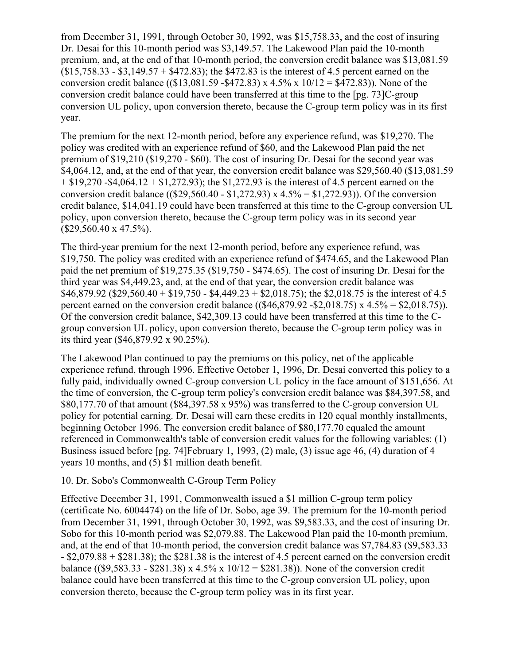from December 31, 1991, through October 30, 1992, was \$15,758.33, and the cost of insuring Dr. Desai for this 10-month period was \$3,149.57. The Lakewood Plan paid the 10-month premium, and, at the end of that 10-month period, the conversion credit balance was \$13,081.59  $(15,758.33 - 33,149.57 + 472.83)$ ; the \$472.83 is the interest of 4.5 percent earned on the conversion credit balance ((\$13,081.59 - \$472.83) x 4.5% x 10/12 = \$472.83)). None of the conversion credit balance could have been transferred at this time to the [pg. 73]C-group conversion UL policy, upon conversion thereto, because the C-group term policy was in its first year.

The premium for the next 12-month period, before any experience refund, was \$19,270. The policy was credited with an experience refund of \$60, and the Lakewood Plan paid the net premium of \$19,210 (\$19,270 - \$60). The cost of insuring Dr. Desai for the second year was \$4,064.12, and, at the end of that year, the conversion credit balance was \$29,560.40 (\$13,081.59  $+ $19,270 - $4,064.12 + $1,272.93$ ; the \$1,272.93 is the interest of 4.5 percent earned on the conversion credit balance ((\$29,560.40 - \$1,272.93) x  $4.5\%$  = \$1,272.93)). Of the conversion credit balance, \$14,041.19 could have been transferred at this time to the C-group conversion UL policy, upon conversion thereto, because the C-group term policy was in its second year  $($29,560.40 \times 47.5\%)$ .

The third-year premium for the next 12-month period, before any experience refund, was \$19,750. The policy was credited with an experience refund of \$474.65, and the Lakewood Plan paid the net premium of \$19,275.35 (\$19,750 - \$474.65). The cost of insuring Dr. Desai for the third year was \$4,449.23, and, at the end of that year, the conversion credit balance was \$46,879.92 (\$29,560.40 + \$19,750 - \$4,449.23 + \$2,018.75); the \$2,018.75 is the interest of 4.5 percent earned on the conversion credit balance ( $(\$46,879.92 - \$2,018.75) \times 4.5\% = \$2,018.75)$ ). Of the conversion credit balance, \$42,309.13 could have been transferred at this time to the Cgroup conversion UL policy, upon conversion thereto, because the C-group term policy was in its third year (\$46,879.92 x 90.25%).

The Lakewood Plan continued to pay the premiums on this policy, net of the applicable experience refund, through 1996. Effective October 1, 1996, Dr. Desai converted this policy to a fully paid, individually owned C-group conversion UL policy in the face amount of \$151,656. At the time of conversion, the C-group term policy's conversion credit balance was \$84,397.58, and \$80,177.70 of that amount (\$84,397.58 x 95%) was transferred to the C-group conversion UL policy for potential earning. Dr. Desai will earn these credits in 120 equal monthly installments, beginning October 1996. The conversion credit balance of \$80,177.70 equaled the amount referenced in Commonwealth's table of conversion credit values for the following variables: (1) Business issued before [pg. 74]February 1, 1993, (2) male, (3) issue age 46, (4) duration of 4 years 10 months, and (5) \$1 million death benefit.

# 10. Dr. Sobo's Commonwealth C-Group Term Policy

Effective December 31, 1991, Commonwealth issued a \$1 million C-group term policy (certificate No. 6004474) on the life of Dr. Sobo, age 39. The premium for the 10-month period from December 31, 1991, through October 30, 1992, was \$9,583.33, and the cost of insuring Dr. Sobo for this 10-month period was \$2,079.88. The Lakewood Plan paid the 10-month premium, and, at the end of that 10-month period, the conversion credit balance was \$7,784.83 (\$9,583.33 - \$2,079.88 + \$281.38); the \$281.38 is the interest of 4.5 percent earned on the conversion credit balance ((\$9,583.33 - \$281.38) x 4.5% x 10/12 = \$281.38)). None of the conversion credit balance could have been transferred at this time to the C-group conversion UL policy, upon conversion thereto, because the C-group term policy was in its first year.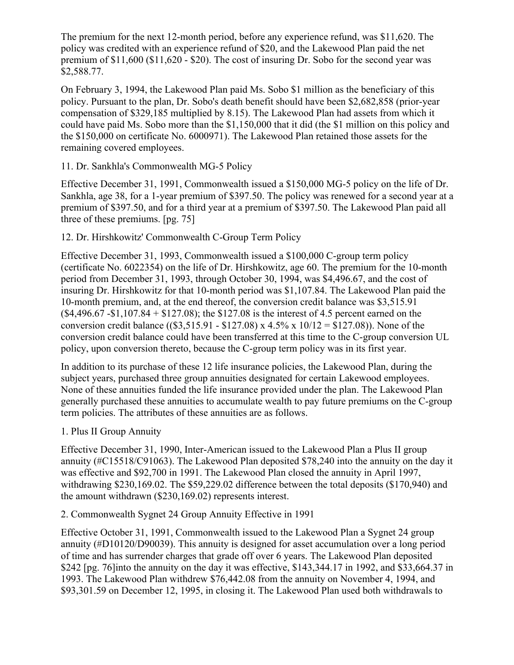The premium for the next 12-month period, before any experience refund, was \$11,620. The policy was credited with an experience refund of \$20, and the Lakewood Plan paid the net premium of \$11,600 (\$11,620 - \$20). The cost of insuring Dr. Sobo for the second year was \$2,588.77.

On February 3, 1994, the Lakewood Plan paid Ms. Sobo \$1 million as the beneficiary of this policy. Pursuant to the plan, Dr. Sobo's death benefit should have been \$2,682,858 (prior-year compensation of \$329,185 multiplied by 8.15). The Lakewood Plan had assets from which it could have paid Ms. Sobo more than the \$1,150,000 that it did (the \$1 million on this policy and the \$150,000 on certificate No. 6000971). The Lakewood Plan retained those assets for the remaining covered employees.

11. Dr. Sankhla's Commonwealth MG-5 Policy

Effective December 31, 1991, Commonwealth issued a \$150,000 MG-5 policy on the life of Dr. Sankhla, age 38, for a 1-year premium of \$397.50. The policy was renewed for a second year at a premium of \$397.50, and for a third year at a premium of \$397.50. The Lakewood Plan paid all three of these premiums. [pg. 75]

# 12. Dr. Hirshkowitz' Commonwealth C-Group Term Policy

Effective December 31, 1993, Commonwealth issued a \$100,000 C-group term policy (certificate No. 6022354) on the life of Dr. Hirshkowitz, age 60. The premium for the 10-month period from December 31, 1993, through October 30, 1994, was \$4,496.67, and the cost of insuring Dr. Hirshkowitz for that 10-month period was \$1,107.84. The Lakewood Plan paid the 10-month premium, and, at the end thereof, the conversion credit balance was \$3,515.91  $($ \$4,496.67 -\$1,107.84 + \$127.08); the \$127.08 is the interest of 4.5 percent earned on the conversion credit balance ((\$3,515.91 - \$127.08) x 4.5% x 10/12 = \$127.08)). None of the conversion credit balance could have been transferred at this time to the C-group conversion UL policy, upon conversion thereto, because the C-group term policy was in its first year.

In addition to its purchase of these 12 life insurance policies, the Lakewood Plan, during the subject years, purchased three group annuities designated for certain Lakewood employees. None of these annuities funded the life insurance provided under the plan. The Lakewood Plan generally purchased these annuities to accumulate wealth to pay future premiums on the C-group term policies. The attributes of these annuities are as follows.

# 1. Plus II Group Annuity

Effective December 31, 1990, Inter-American issued to the Lakewood Plan a Plus II group annuity (#C15518/C91063). The Lakewood Plan deposited \$78,240 into the annuity on the day it was effective and \$92,700 in 1991. The Lakewood Plan closed the annuity in April 1997, withdrawing \$230,169.02. The \$59,229.02 difference between the total deposits (\$170,940) and the amount withdrawn (\$230,169.02) represents interest.

# 2. Commonwealth Sygnet 24 Group Annuity Effective in 1991

Effective October 31, 1991, Commonwealth issued to the Lakewood Plan a Sygnet 24 group annuity (#D10120/D90039). This annuity is designed for asset accumulation over a long period of time and has surrender charges that grade off over 6 years. The Lakewood Plan deposited \$242 [pg. 76]into the annuity on the day it was effective, \$143,344.17 in 1992, and \$33,664.37 in 1993. The Lakewood Plan withdrew \$76,442.08 from the annuity on November 4, 1994, and \$93,301.59 on December 12, 1995, in closing it. The Lakewood Plan used both withdrawals to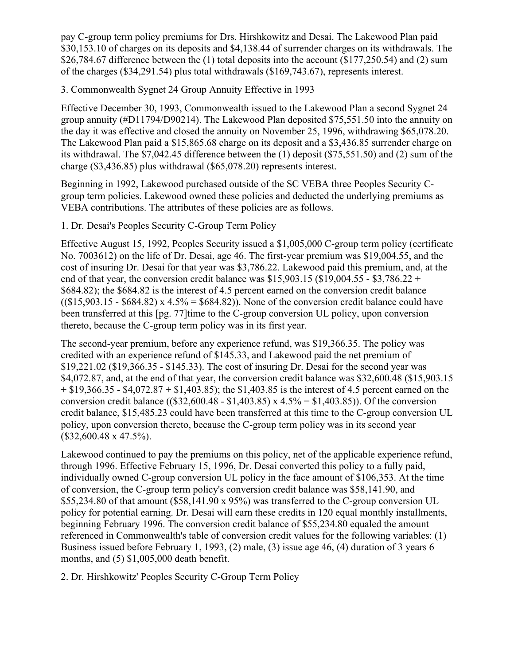pay C-group term policy premiums for Drs. Hirshkowitz and Desai. The Lakewood Plan paid \$30,153.10 of charges on its deposits and \$4,138.44 of surrender charges on its withdrawals. The \$26,784.67 difference between the (1) total deposits into the account (\$177,250.54) and (2) sum of the charges (\$34,291.54) plus total withdrawals (\$169,743.67), represents interest.

3. Commonwealth Sygnet 24 Group Annuity Effective in 1993

Effective December 30, 1993, Commonwealth issued to the Lakewood Plan a second Sygnet 24 group annuity (#D11794/D90214). The Lakewood Plan deposited \$75,551.50 into the annuity on the day it was effective and closed the annuity on November 25, 1996, withdrawing \$65,078.20. The Lakewood Plan paid a \$15,865.68 charge on its deposit and a \$3,436.85 surrender charge on its withdrawal. The \$7,042.45 difference between the (1) deposit (\$75,551.50) and (2) sum of the charge (\$3,436.85) plus withdrawal (\$65,078.20) represents interest.

Beginning in 1992, Lakewood purchased outside of the SC VEBA three Peoples Security Cgroup term policies. Lakewood owned these policies and deducted the underlying premiums as VEBA contributions. The attributes of these policies are as follows.

1. Dr. Desai's Peoples Security C-Group Term Policy

Effective August 15, 1992, Peoples Security issued a \$1,005,000 C-group term policy (certificate No. 7003612) on the life of Dr. Desai, age 46. The first-year premium was \$19,004.55, and the cost of insuring Dr. Desai for that year was \$3,786.22. Lakewood paid this premium, and, at the end of that year, the conversion credit balance was  $$15,903.15$  ( $$19,004.55 - $3,786.22 +$ \$684.82); the \$684.82 is the interest of 4.5 percent earned on the conversion credit balance  $((\$15,903.15 - \$684.82) \times 4.5\% = \$684.82)$ . None of the conversion credit balance could have been transferred at this [pg. 77]time to the C-group conversion UL policy, upon conversion thereto, because the C-group term policy was in its first year.

The second-year premium, before any experience refund, was \$19,366.35. The policy was credited with an experience refund of \$145.33, and Lakewood paid the net premium of \$19,221.02 (\$19,366.35 - \$145.33). The cost of insuring Dr. Desai for the second year was \$4,072.87, and, at the end of that year, the conversion credit balance was \$32,600.48 (\$15,903.15  $+ $19,366.35 - $4,072.87 + $1,403.85$ ; the \$1,403.85 is the interest of 4.5 percent earned on the conversion credit balance ((\$32,600.48 - \$1,403.85) x  $4.5\%$  = \$1,403.85)). Of the conversion credit balance, \$15,485.23 could have been transferred at this time to the C-group conversion UL policy, upon conversion thereto, because the C-group term policy was in its second year (\$32,600.48 x 47.5%).

Lakewood continued to pay the premiums on this policy, net of the applicable experience refund, through 1996. Effective February 15, 1996, Dr. Desai converted this policy to a fully paid, individually owned C-group conversion UL policy in the face amount of \$106,353. At the time of conversion, the C-group term policy's conversion credit balance was \$58,141.90, and \$55,234.80 of that amount (\$58,141.90 x 95%) was transferred to the C-group conversion UL policy for potential earning. Dr. Desai will earn these credits in 120 equal monthly installments, beginning February 1996. The conversion credit balance of \$55,234.80 equaled the amount referenced in Commonwealth's table of conversion credit values for the following variables: (1) Business issued before February 1, 1993, (2) male, (3) issue age 46, (4) duration of 3 years 6 months, and (5) \$1,005,000 death benefit.

2. Dr. Hirshkowitz' Peoples Security C-Group Term Policy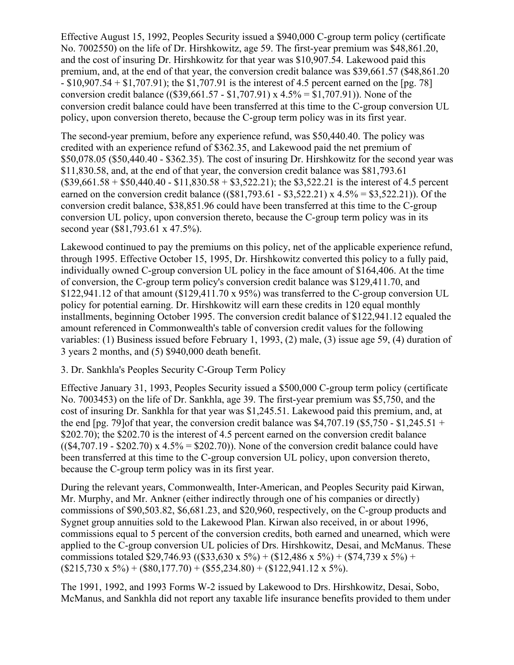Effective August 15, 1992, Peoples Security issued a \$940,000 C-group term policy (certificate No. 7002550) on the life of Dr. Hirshkowitz, age 59. The first-year premium was \$48,861.20, and the cost of insuring Dr. Hirshkowitz for that year was \$10,907.54. Lakewood paid this premium, and, at the end of that year, the conversion credit balance was \$39,661.57 (\$48,861.20  $- $10,907.54 + $1,707.91$ ; the \$1,707.91 is the interest of 4.5 percent earned on the [pg. 78] conversion credit balance ((\$39,661.57 - \$1,707.91) x 4.5% = \$1,707.91)). None of the conversion credit balance could have been transferred at this time to the C-group conversion UL policy, upon conversion thereto, because the C-group term policy was in its first year.

The second-year premium, before any experience refund, was \$50,440.40. The policy was credited with an experience refund of \$362.35, and Lakewood paid the net premium of \$50,078.05 (\$50,440.40 - \$362.35). The cost of insuring Dr. Hirshkowitz for the second year was \$11,830.58, and, at the end of that year, the conversion credit balance was \$81,793.61  $($39,661.58 + $50,440.40 - $11,830.58 + $3,522.21);$  the \$3,522.21 is the interest of 4.5 percent earned on the conversion credit balance ( $(\$81,793.61 - \$3,522.21) \times 4.5\% = \$3,522.21)$ ). Of the conversion credit balance, \$38,851.96 could have been transferred at this time to the C-group conversion UL policy, upon conversion thereto, because the C-group term policy was in its second year (\$81,793.61 x 47.5%).

Lakewood continued to pay the premiums on this policy, net of the applicable experience refund, through 1995. Effective October 15, 1995, Dr. Hirshkowitz converted this policy to a fully paid, individually owned C-group conversion UL policy in the face amount of \$164,406. At the time of conversion, the C-group term policy's conversion credit balance was \$129,411.70, and  $$122,941.12$  of that amount (\$129,411.70 x 95%) was transferred to the C-group conversion UL policy for potential earning. Dr. Hirshkowitz will earn these credits in 120 equal monthly installments, beginning October 1995. The conversion credit balance of \$122,941.12 equaled the amount referenced in Commonwealth's table of conversion credit values for the following variables: (1) Business issued before February 1, 1993, (2) male, (3) issue age 59, (4) duration of 3 years 2 months, and (5) \$940,000 death benefit.

# 3. Dr. Sankhla's Peoples Security C-Group Term Policy

Effective January 31, 1993, Peoples Security issued a \$500,000 C-group term policy (certificate No. 7003453) on the life of Dr. Sankhla, age 39. The first-year premium was \$5,750, and the cost of insuring Dr. Sankhla for that year was \$1,245.51. Lakewood paid this premium, and, at the end [pg. 79] of that year, the conversion credit balance was  $$4,707.19$  (\$5.750 - \$1,245.51 + \$202.70); the \$202.70 is the interest of 4.5 percent earned on the conversion credit balance  $((\$4,707.19 - \$202.70) \times 4.5\% = \$202.70)$ . None of the conversion credit balance could have been transferred at this time to the C-group conversion UL policy, upon conversion thereto, because the C-group term policy was in its first year.

During the relevant years, Commonwealth, Inter-American, and Peoples Security paid Kirwan, Mr. Murphy, and Mr. Ankner (either indirectly through one of his companies or directly) commissions of \$90,503.82, \$6,681.23, and \$20,960, respectively, on the C-group products and Sygnet group annuities sold to the Lakewood Plan. Kirwan also received, in or about 1996, commissions equal to 5 percent of the conversion credits, both earned and unearned, which were applied to the C-group conversion UL policies of Drs. Hirshkowitz, Desai, and McManus. These commissions totaled \$29,746.93 ((\$33,630 x 5%) + (\$12,486 x 5%) + (\$74,739 x 5%) +  $($215,730 \times 5\%) + ($80,177.70) + ($55,234.80) + ($122,941.12 \times 5\%)$ .

The 1991, 1992, and 1993 Forms W-2 issued by Lakewood to Drs. Hirshkowitz, Desai, Sobo, McManus, and Sankhla did not report any taxable life insurance benefits provided to them under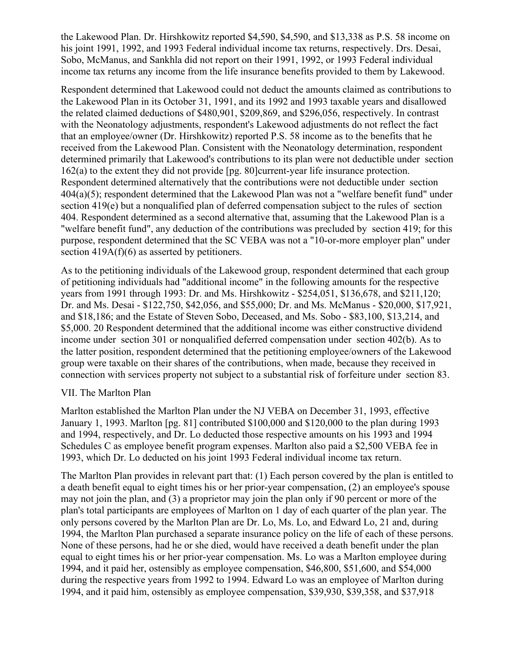the Lakewood Plan. Dr. Hirshkowitz reported \$4,590, \$4,590, and \$13,338 as P.S. 58 income on his joint 1991, 1992, and 1993 Federal individual income tax returns, respectively. Drs. Desai, Sobo, McManus, and Sankhla did not report on their 1991, 1992, or 1993 Federal individual income tax returns any income from the life insurance benefits provided to them by Lakewood.

Respondent determined that Lakewood could not deduct the amounts claimed as contributions to the Lakewood Plan in its October 31, 1991, and its 1992 and 1993 taxable years and disallowed the related claimed deductions of \$480,901, \$209,869, and \$296,056, respectively. In contrast with the Neonatology adjustments, respondent's Lakewood adjustments do not reflect the fact that an employee/owner (Dr. Hirshkowitz) reported P.S. 58 income as to the benefits that he received from the Lakewood Plan. Consistent with the Neonatology determination, respondent determined primarily that Lakewood's contributions to its plan were not deductible under section 162(a) to the extent they did not provide [pg. 80]current-year life insurance protection. Respondent determined alternatively that the contributions were not deductible under section 404(a)(5); respondent determined that the Lakewood Plan was not a "welfare benefit fund" under section 419(e) but a nonqualified plan of deferred compensation subject to the rules of section 404. Respondent determined as a second alternative that, assuming that the Lakewood Plan is a "welfare benefit fund", any deduction of the contributions was precluded by section 419; for this purpose, respondent determined that the SC VEBA was not a "10-or-more employer plan" under section 419A(f)(6) as asserted by petitioners.

As to the petitioning individuals of the Lakewood group, respondent determined that each group of petitioning individuals had "additional income" in the following amounts for the respective years from 1991 through 1993: Dr. and Ms. Hirshkowitz - \$254,051, \$136,678, and \$211,120; Dr. and Ms. Desai - \$122,750, \$42,056, and \$55,000; Dr. and Ms. McManus - \$20,000, \$17,921, and \$18,186; and the Estate of Steven Sobo, Deceased, and Ms. Sobo - \$83,100, \$13,214, and \$5,000. 20 Respondent determined that the additional income was either constructive dividend income under section 301 or nonqualified deferred compensation under section 402(b). As to the latter position, respondent determined that the petitioning employee/owners of the Lakewood group were taxable on their shares of the contributions, when made, because they received in connection with services property not subject to a substantial risk of forfeiture under section 83.

#### VII. The Marlton Plan

Marlton established the Marlton Plan under the NJ VEBA on December 31, 1993, effective January 1, 1993. Marlton [pg. 81] contributed \$100,000 and \$120,000 to the plan during 1993 and 1994, respectively, and Dr. Lo deducted those respective amounts on his 1993 and 1994 Schedules C as employee benefit program expenses. Marlton also paid a \$2,500 VEBA fee in 1993, which Dr. Lo deducted on his joint 1993 Federal individual income tax return.

The Marlton Plan provides in relevant part that: (1) Each person covered by the plan is entitled to a death benefit equal to eight times his or her prior-year compensation, (2) an employee's spouse may not join the plan, and (3) a proprietor may join the plan only if 90 percent or more of the plan's total participants are employees of Marlton on 1 day of each quarter of the plan year. The only persons covered by the Marlton Plan are Dr. Lo, Ms. Lo, and Edward Lo, 21 and, during 1994, the Marlton Plan purchased a separate insurance policy on the life of each of these persons. None of these persons, had he or she died, would have received a death benefit under the plan equal to eight times his or her prior-year compensation. Ms. Lo was a Marlton employee during 1994, and it paid her, ostensibly as employee compensation, \$46,800, \$51,600, and \$54,000 during the respective years from 1992 to 1994. Edward Lo was an employee of Marlton during 1994, and it paid him, ostensibly as employee compensation, \$39,930, \$39,358, and \$37,918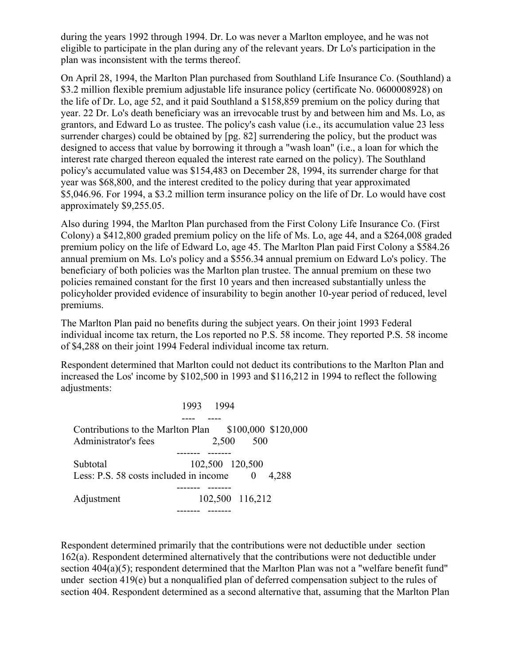during the years 1992 through 1994. Dr. Lo was never a Marlton employee, and he was not eligible to participate in the plan during any of the relevant years. Dr Lo's participation in the plan was inconsistent with the terms thereof.

On April 28, 1994, the Marlton Plan purchased from Southland Life Insurance Co. (Southland) a \$3.2 million flexible premium adjustable life insurance policy (certificate No. 0600008928) on the life of Dr. Lo, age 52, and it paid Southland a \$158,859 premium on the policy during that year. 22 Dr. Lo's death beneficiary was an irrevocable trust by and between him and Ms. Lo, as grantors, and Edward Lo as trustee. The policy's cash value (i.e., its accumulation value 23 less surrender charges) could be obtained by [pg. 82] surrendering the policy, but the product was designed to access that value by borrowing it through a "wash loan" (i.e., a loan for which the interest rate charged thereon equaled the interest rate earned on the policy). The Southland policy's accumulated value was \$154,483 on December 28, 1994, its surrender charge for that year was \$68,800, and the interest credited to the policy during that year approximated \$5,046.96. For 1994, a \$3.2 million term insurance policy on the life of Dr. Lo would have cost approximately \$9,255.05.

Also during 1994, the Marlton Plan purchased from the First Colony Life Insurance Co. (First Colony) a \$412,800 graded premium policy on the life of Ms. Lo, age 44, and a \$264,008 graded premium policy on the life of Edward Lo, age 45. The Marlton Plan paid First Colony a \$584.26 annual premium on Ms. Lo's policy and a \$556.34 annual premium on Edward Lo's policy. The beneficiary of both policies was the Marlton plan trustee. The annual premium on these two policies remained constant for the first 10 years and then increased substantially unless the policyholder provided evidence of insurability to begin another 10-year period of reduced, level premiums.

The Marlton Plan paid no benefits during the subject years. On their joint 1993 Federal individual income tax return, the Los reported no P.S. 58 income. They reported P.S. 58 income of \$4,288 on their joint 1994 Federal individual income tax return.

Respondent determined that Marlton could not deduct its contributions to the Marlton Plan and increased the Los' income by \$102,500 in 1993 and \$116,212 in 1994 to reflect the following adjustments:

 1993 1994 ---- ---- Contributions to the Marlton Plan \$100,000 \$120,000 Administrator's fees 2,500 500 ------- ------- Subtotal 102,500 120,500 Less: P.S. 58 costs included in income  $0$  4,288 ------- ------- Adjustment 102,500 116,212 ------- -------

Respondent determined primarily that the contributions were not deductible under section 162(a). Respondent determined alternatively that the contributions were not deductible under section 404(a)(5); respondent determined that the Marlton Plan was not a "welfare benefit fund" under section 419(e) but a nonqualified plan of deferred compensation subject to the rules of section 404. Respondent determined as a second alternative that, assuming that the Marlton Plan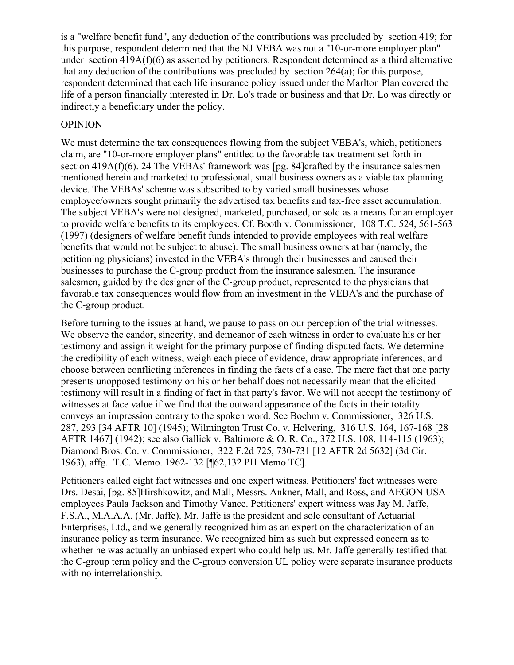is a "welfare benefit fund", any deduction of the contributions was precluded by section 419; for this purpose, respondent determined that the NJ VEBA was not a "10-or-more employer plan" under section 419A(f)(6) as asserted by petitioners. Respondent determined as a third alternative that any deduction of the contributions was precluded by section 264(a); for this purpose, respondent determined that each life insurance policy issued under the Marlton Plan covered the life of a person financially interested in Dr. Lo's trade or business and that Dr. Lo was directly or indirectly a beneficiary under the policy.

# OPINION

We must determine the tax consequences flowing from the subject VEBA's, which, petitioners claim, are "10-or-more employer plans" entitled to the favorable tax treatment set forth in section 419A(f)(6). 24 The VEBAs' framework was [pg. 84]crafted by the insurance salesmen mentioned herein and marketed to professional, small business owners as a viable tax planning device. The VEBAs' scheme was subscribed to by varied small businesses whose employee/owners sought primarily the advertised tax benefits and tax-free asset accumulation. The subject VEBA's were not designed, marketed, purchased, or sold as a means for an employer to provide welfare benefits to its employees. Cf. Booth v. Commissioner, 108 T.C. 524, 561-563 (1997) (designers of welfare benefit funds intended to provide employees with real welfare benefits that would not be subject to abuse). The small business owners at bar (namely, the petitioning physicians) invested in the VEBA's through their businesses and caused their businesses to purchase the C-group product from the insurance salesmen. The insurance salesmen, guided by the designer of the C-group product, represented to the physicians that favorable tax consequences would flow from an investment in the VEBA's and the purchase of the C-group product.

Before turning to the issues at hand, we pause to pass on our perception of the trial witnesses. We observe the candor, sincerity, and demeanor of each witness in order to evaluate his or her testimony and assign it weight for the primary purpose of finding disputed facts. We determine the credibility of each witness, weigh each piece of evidence, draw appropriate inferences, and choose between conflicting inferences in finding the facts of a case. The mere fact that one party presents unopposed testimony on his or her behalf does not necessarily mean that the elicited testimony will result in a finding of fact in that party's favor. We will not accept the testimony of witnesses at face value if we find that the outward appearance of the facts in their totality conveys an impression contrary to the spoken word. See Boehm v. Commissioner, 326 U.S. 287, 293 [34 AFTR 10] (1945); Wilmington Trust Co. v. Helvering, 316 U.S. 164, 167-168 [28 AFTR 1467] (1942); see also Gallick v. Baltimore & O. R. Co., 372 U.S. 108, 114-115 (1963); Diamond Bros. Co. v. Commissioner, 322 F.2d 725, 730-731 [12 AFTR 2d 5632] (3d Cir. 1963), affg. T.C. Memo. 1962-132 [¶62,132 PH Memo TC].

Petitioners called eight fact witnesses and one expert witness. Petitioners' fact witnesses were Drs. Desai, [pg. 85]Hirshkowitz, and Mall, Messrs. Ankner, Mall, and Ross, and AEGON USA employees Paula Jackson and Timothy Vance. Petitioners' expert witness was Jay M. Jaffe, F.S.A., M.A.A.A. (Mr. Jaffe). Mr. Jaffe is the president and sole consultant of Actuarial Enterprises, Ltd., and we generally recognized him as an expert on the characterization of an insurance policy as term insurance. We recognized him as such but expressed concern as to whether he was actually an unbiased expert who could help us. Mr. Jaffe generally testified that the C-group term policy and the C-group conversion UL policy were separate insurance products with no interrelationship.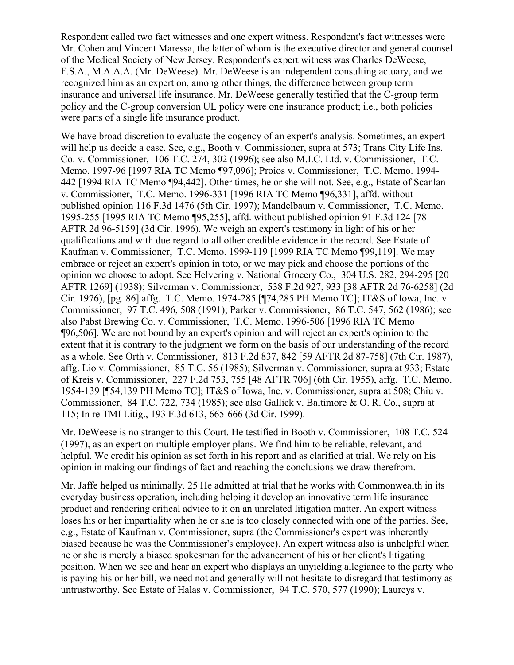Respondent called two fact witnesses and one expert witness. Respondent's fact witnesses were Mr. Cohen and Vincent Maressa, the latter of whom is the executive director and general counsel of the Medical Society of New Jersey. Respondent's expert witness was Charles DeWeese, F.S.A., M.A.A.A. (Mr. DeWeese). Mr. DeWeese is an independent consulting actuary, and we recognized him as an expert on, among other things, the difference between group term insurance and universal life insurance. Mr. DeWeese generally testified that the C-group term policy and the C-group conversion UL policy were one insurance product; i.e., both policies were parts of a single life insurance product.

We have broad discretion to evaluate the cogency of an expert's analysis. Sometimes, an expert will help us decide a case. See, e.g., Booth v. Commissioner, supra at 573; Trans City Life Ins. Co. v. Commissioner, 106 T.C. 274, 302 (1996); see also M.I.C. Ltd. v. Commissioner, T.C. Memo. 1997-96 [1997 RIA TC Memo ¶97,096]; Proios v. Commissioner, T.C. Memo. 1994- 442 [1994 RIA TC Memo ¶94,442]. Other times, he or she will not. See, e.g., Estate of Scanlan v. Commissioner, T.C. Memo. 1996-331 [1996 RIA TC Memo ¶96,331], affd. without published opinion 116 F.3d 1476 (5th Cir. 1997); Mandelbaum v. Commissioner, T.C. Memo. 1995-255 [1995 RIA TC Memo ¶95,255], affd. without published opinion 91 F.3d 124 [78 AFTR 2d 96-5159] (3d Cir. 1996). We weigh an expert's testimony in light of his or her qualifications and with due regard to all other credible evidence in the record. See Estate of Kaufman v. Commissioner, T.C. Memo. 1999-119 [1999 RIA TC Memo ¶99,119]. We may embrace or reject an expert's opinion in toto, or we may pick and choose the portions of the opinion we choose to adopt. See Helvering v. National Grocery Co., 304 U.S. 282, 294-295 [20 AFTR 1269] (1938); Silverman v. Commissioner, 538 F.2d 927, 933 [38 AFTR 2d 76-6258] (2d Cir. 1976), [pg. 86] affg. T.C. Memo. 1974-285 [¶74,285 PH Memo TC]; IT&S of Iowa, Inc. v. Commissioner, 97 T.C. 496, 508 (1991); Parker v. Commissioner, 86 T.C. 547, 562 (1986); see also Pabst Brewing Co. v. Commissioner, T.C. Memo. 1996-506 [1996 RIA TC Memo ¶96,506]. We are not bound by an expert's opinion and will reject an expert's opinion to the extent that it is contrary to the judgment we form on the basis of our understanding of the record as a whole. See Orth v. Commissioner, 813 F.2d 837, 842 [59 AFTR 2d 87-758] (7th Cir. 1987), affg. Lio v. Commissioner, 85 T.C. 56 (1985); Silverman v. Commissioner, supra at 933; Estate of Kreis v. Commissioner, 227 F.2d 753, 755 [48 AFTR 706] (6th Cir. 1955), affg. T.C. Memo. 1954-139 [¶54,139 PH Memo TC]; IT&S of Iowa, Inc. v. Commissioner, supra at 508; Chiu v. Commissioner, 84 T.C. 722, 734 (1985); see also Gallick v. Baltimore & O. R. Co., supra at 115; In re TMI Litig., 193 F.3d 613, 665-666 (3d Cir. 1999).

Mr. DeWeese is no stranger to this Court. He testified in Booth v. Commissioner, 108 T.C. 524 (1997), as an expert on multiple employer plans. We find him to be reliable, relevant, and helpful. We credit his opinion as set forth in his report and as clarified at trial. We rely on his opinion in making our findings of fact and reaching the conclusions we draw therefrom.

Mr. Jaffe helped us minimally. 25 He admitted at trial that he works with Commonwealth in its everyday business operation, including helping it develop an innovative term life insurance product and rendering critical advice to it on an unrelated litigation matter. An expert witness loses his or her impartiality when he or she is too closely connected with one of the parties. See, e.g., Estate of Kaufman v. Commissioner, supra (the Commissioner's expert was inherently biased because he was the Commissioner's employee). An expert witness also is unhelpful when he or she is merely a biased spokesman for the advancement of his or her client's litigating position. When we see and hear an expert who displays an unyielding allegiance to the party who is paying his or her bill, we need not and generally will not hesitate to disregard that testimony as untrustworthy. See Estate of Halas v. Commissioner, 94 T.C. 570, 577 (1990); Laureys v.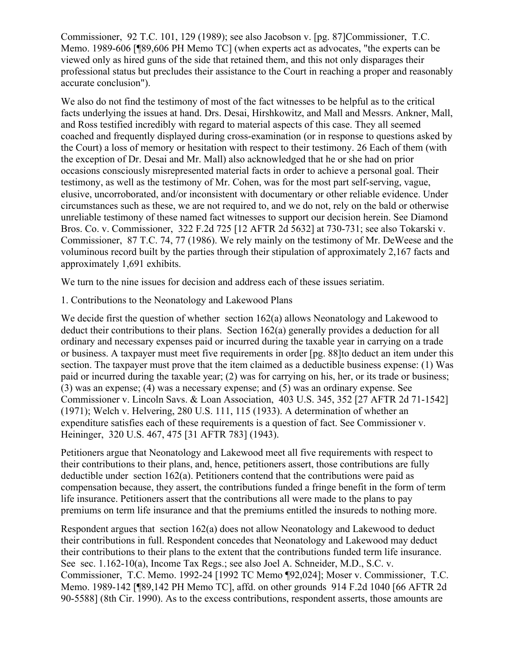Commissioner, 92 T.C. 101, 129 (1989); see also Jacobson v. [pg. 87]Commissioner, T.C. Memo. 1989-606 [¶89,606 PH Memo TC] (when experts act as advocates, "the experts can be viewed only as hired guns of the side that retained them, and this not only disparages their professional status but precludes their assistance to the Court in reaching a proper and reasonably accurate conclusion").

We also do not find the testimony of most of the fact witnesses to be helpful as to the critical facts underlying the issues at hand. Drs. Desai, Hirshkowitz, and Mall and Messrs. Ankner, Mall, and Ross testified incredibly with regard to material aspects of this case. They all seemed coached and frequently displayed during cross-examination (or in response to questions asked by the Court) a loss of memory or hesitation with respect to their testimony. 26 Each of them (with the exception of Dr. Desai and Mr. Mall) also acknowledged that he or she had on prior occasions consciously misrepresented material facts in order to achieve a personal goal. Their testimony, as well as the testimony of Mr. Cohen, was for the most part self-serving, vague, elusive, uncorroborated, and/or inconsistent with documentary or other reliable evidence. Under circumstances such as these, we are not required to, and we do not, rely on the bald or otherwise unreliable testimony of these named fact witnesses to support our decision herein. See Diamond Bros. Co. v. Commissioner, 322 F.2d 725 [12 AFTR 2d 5632] at 730-731; see also Tokarski v. Commissioner, 87 T.C. 74, 77 (1986). We rely mainly on the testimony of Mr. DeWeese and the voluminous record built by the parties through their stipulation of approximately 2,167 facts and approximately 1,691 exhibits.

We turn to the nine issues for decision and address each of these issues seriatim.

1. Contributions to the Neonatology and Lakewood Plans

We decide first the question of whether section 162(a) allows Neonatology and Lakewood to deduct their contributions to their plans. Section 162(a) generally provides a deduction for all ordinary and necessary expenses paid or incurred during the taxable year in carrying on a trade or business. A taxpayer must meet five requirements in order [pg. 88]to deduct an item under this section. The taxpayer must prove that the item claimed as a deductible business expense: (1) Was paid or incurred during the taxable year; (2) was for carrying on his, her, or its trade or business; (3) was an expense; (4) was a necessary expense; and (5) was an ordinary expense. See Commissioner v. Lincoln Savs. & Loan Association, 403 U.S. 345, 352 [27 AFTR 2d 71-1542] (1971); Welch v. Helvering, 280 U.S. 111, 115 (1933). A determination of whether an expenditure satisfies each of these requirements is a question of fact. See Commissioner v. Heininger, 320 U.S. 467, 475 [31 AFTR 783] (1943).

Petitioners argue that Neonatology and Lakewood meet all five requirements with respect to their contributions to their plans, and, hence, petitioners assert, those contributions are fully deductible under section 162(a). Petitioners contend that the contributions were paid as compensation because, they assert, the contributions funded a fringe benefit in the form of term life insurance. Petitioners assert that the contributions all were made to the plans to pay premiums on term life insurance and that the premiums entitled the insureds to nothing more.

Respondent argues that section 162(a) does not allow Neonatology and Lakewood to deduct their contributions in full. Respondent concedes that Neonatology and Lakewood may deduct their contributions to their plans to the extent that the contributions funded term life insurance. See sec. 1.162-10(a), Income Tax Regs.; see also Joel A. Schneider, M.D., S.C. v. Commissioner, T.C. Memo. 1992-24 [1992 TC Memo ¶92,024]; Moser v. Commissioner, T.C. Memo. 1989-142 [¶89,142 PH Memo TC], affd. on other grounds 914 F.2d 1040 [66 AFTR 2d 90-5588] (8th Cir. 1990). As to the excess contributions, respondent asserts, those amounts are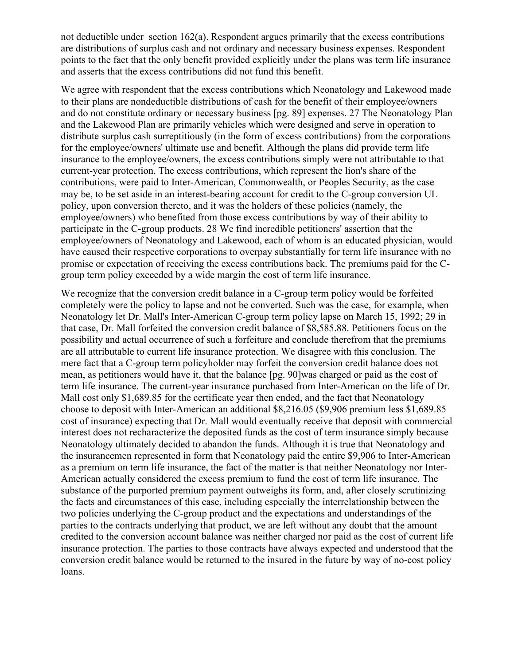not deductible under section 162(a). Respondent argues primarily that the excess contributions are distributions of surplus cash and not ordinary and necessary business expenses. Respondent points to the fact that the only benefit provided explicitly under the plans was term life insurance and asserts that the excess contributions did not fund this benefit.

We agree with respondent that the excess contributions which Neonatology and Lakewood made to their plans are nondeductible distributions of cash for the benefit of their employee/owners and do not constitute ordinary or necessary business [pg. 89] expenses. 27 The Neonatology Plan and the Lakewood Plan are primarily vehicles which were designed and serve in operation to distribute surplus cash surreptitiously (in the form of excess contributions) from the corporations for the employee/owners' ultimate use and benefit. Although the plans did provide term life insurance to the employee/owners, the excess contributions simply were not attributable to that current-year protection. The excess contributions, which represent the lion's share of the contributions, were paid to Inter-American, Commonwealth, or Peoples Security, as the case may be, to be set aside in an interest-bearing account for credit to the C-group conversion UL policy, upon conversion thereto, and it was the holders of these policies (namely, the employee/owners) who benefited from those excess contributions by way of their ability to participate in the C-group products. 28 We find incredible petitioners' assertion that the employee/owners of Neonatology and Lakewood, each of whom is an educated physician, would have caused their respective corporations to overpay substantially for term life insurance with no promise or expectation of receiving the excess contributions back. The premiums paid for the Cgroup term policy exceeded by a wide margin the cost of term life insurance.

We recognize that the conversion credit balance in a C-group term policy would be forfeited completely were the policy to lapse and not be converted. Such was the case, for example, when Neonatology let Dr. Mall's Inter-American C-group term policy lapse on March 15, 1992; 29 in that case, Dr. Mall forfeited the conversion credit balance of \$8,585.88. Petitioners focus on the possibility and actual occurrence of such a forfeiture and conclude therefrom that the premiums are all attributable to current life insurance protection. We disagree with this conclusion. The mere fact that a C-group term policyholder may forfeit the conversion credit balance does not mean, as petitioners would have it, that the balance [pg. 90]was charged or paid as the cost of term life insurance. The current-year insurance purchased from Inter-American on the life of Dr. Mall cost only \$1,689.85 for the certificate year then ended, and the fact that Neonatology choose to deposit with Inter-American an additional \$8,216.05 (\$9,906 premium less \$1,689.85 cost of insurance) expecting that Dr. Mall would eventually receive that deposit with commercial interest does not recharacterize the deposited funds as the cost of term insurance simply because Neonatology ultimately decided to abandon the funds. Although it is true that Neonatology and the insurancemen represented in form that Neonatology paid the entire \$9,906 to Inter-American as a premium on term life insurance, the fact of the matter is that neither Neonatology nor Inter-American actually considered the excess premium to fund the cost of term life insurance. The substance of the purported premium payment outweighs its form, and, after closely scrutinizing the facts and circumstances of this case, including especially the interrelationship between the two policies underlying the C-group product and the expectations and understandings of the parties to the contracts underlying that product, we are left without any doubt that the amount credited to the conversion account balance was neither charged nor paid as the cost of current life insurance protection. The parties to those contracts have always expected and understood that the conversion credit balance would be returned to the insured in the future by way of no-cost policy loans.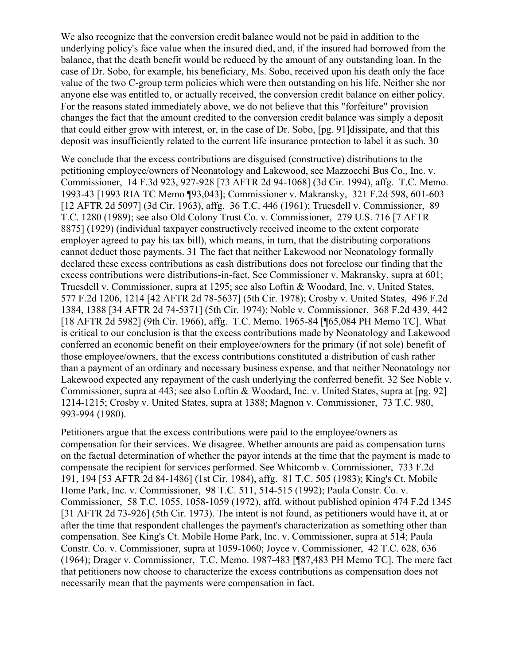We also recognize that the conversion credit balance would not be paid in addition to the underlying policy's face value when the insured died, and, if the insured had borrowed from the balance, that the death benefit would be reduced by the amount of any outstanding loan. In the case of Dr. Sobo, for example, his beneficiary, Ms. Sobo, received upon his death only the face value of the two C-group term policies which were then outstanding on his life. Neither she nor anyone else was entitled to, or actually received, the conversion credit balance on either policy. For the reasons stated immediately above, we do not believe that this "forfeiture" provision changes the fact that the amount credited to the conversion credit balance was simply a deposit that could either grow with interest, or, in the case of Dr. Sobo, [pg. 91]dissipate, and that this deposit was insufficiently related to the current life insurance protection to label it as such. 30

We conclude that the excess contributions are disguised (constructive) distributions to the petitioning employee/owners of Neonatology and Lakewood, see Mazzocchi Bus Co., Inc. v. Commissioner, 14 F.3d 923, 927-928 [73 AFTR 2d 94-1068] (3d Cir. 1994), affg. T.C. Memo. 1993-43 [1993 RIA TC Memo ¶93,043]; Commissioner v. Makransky, 321 F.2d 598, 601-603 [12 AFTR 2d 5097] (3d Cir. 1963), affg. 36 T.C. 446 (1961); Truesdell v. Commissioner, 89 T.C. 1280 (1989); see also Old Colony Trust Co. v. Commissioner, 279 U.S. 716 [7 AFTR 8875] (1929) (individual taxpayer constructively received income to the extent corporate employer agreed to pay his tax bill), which means, in turn, that the distributing corporations cannot deduct those payments. 31 The fact that neither Lakewood nor Neonatology formally declared these excess contributions as cash distributions does not foreclose our finding that the excess contributions were distributions-in-fact. See Commissioner v. Makransky, supra at 601; Truesdell v. Commissioner, supra at 1295; see also Loftin & Woodard, Inc. v. United States, 577 F.2d 1206, 1214 [42 AFTR 2d 78-5637] (5th Cir. 1978); Crosby v. United States, 496 F.2d 1384, 1388 [34 AFTR 2d 74-5371] (5th Cir. 1974); Noble v. Commissioner, 368 F.2d 439, 442 [18 AFTR 2d 5982] (9th Cir. 1966), affg. T.C. Memo. 1965-84 [¶65,084 PH Memo TC]. What is critical to our conclusion is that the excess contributions made by Neonatology and Lakewood conferred an economic benefit on their employee/owners for the primary (if not sole) benefit of those employee/owners, that the excess contributions constituted a distribution of cash rather than a payment of an ordinary and necessary business expense, and that neither Neonatology nor Lakewood expected any repayment of the cash underlying the conferred benefit. 32 See Noble v. Commissioner, supra at 443; see also Loftin & Woodard, Inc. v. United States, supra at [pg. 92] 1214-1215; Crosby v. United States, supra at 1388; Magnon v. Commissioner, 73 T.C. 980, 993-994 (1980).

Petitioners argue that the excess contributions were paid to the employee/owners as compensation for their services. We disagree. Whether amounts are paid as compensation turns on the factual determination of whether the payor intends at the time that the payment is made to compensate the recipient for services performed. See Whitcomb v. Commissioner, 733 F.2d 191, 194 [53 AFTR 2d 84-1486] (1st Cir. 1984), affg. 81 T.C. 505 (1983); King's Ct. Mobile Home Park, Inc. v. Commissioner, 98 T.C. 511, 514-515 (1992); Paula Constr. Co. v. Commissioner, 58 T.C. 1055, 1058-1059 (1972), affd. without published opinion 474 F.2d 1345 [31 AFTR 2d 73-926] (5th Cir. 1973). The intent is not found, as petitioners would have it, at or after the time that respondent challenges the payment's characterization as something other than compensation. See King's Ct. Mobile Home Park, Inc. v. Commissioner, supra at 514; Paula Constr. Co. v. Commissioner, supra at 1059-1060; Joyce v. Commissioner, 42 T.C. 628, 636 (1964); Drager v. Commissioner, T.C. Memo. 1987-483 [¶87,483 PH Memo TC]. The mere fact that petitioners now choose to characterize the excess contributions as compensation does not necessarily mean that the payments were compensation in fact.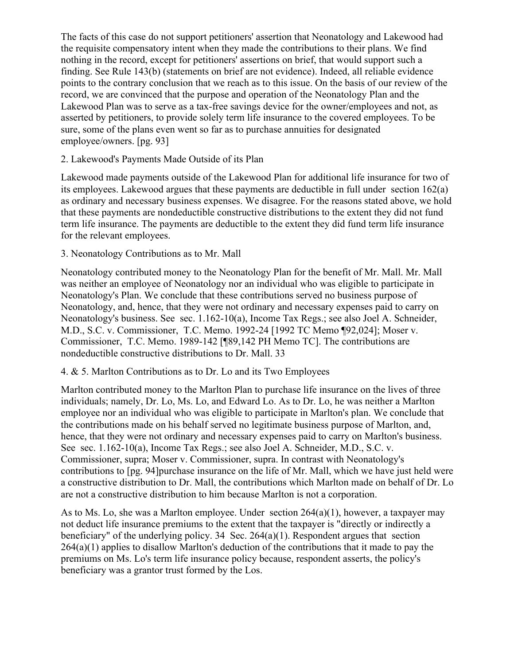The facts of this case do not support petitioners' assertion that Neonatology and Lakewood had the requisite compensatory intent when they made the contributions to their plans. We find nothing in the record, except for petitioners' assertions on brief, that would support such a finding. See Rule 143(b) (statements on brief are not evidence). Indeed, all reliable evidence points to the contrary conclusion that we reach as to this issue. On the basis of our review of the record, we are convinced that the purpose and operation of the Neonatology Plan and the Lakewood Plan was to serve as a tax-free savings device for the owner/employees and not, as asserted by petitioners, to provide solely term life insurance to the covered employees. To be sure, some of the plans even went so far as to purchase annuities for designated employee/owners. [pg. 93]

## 2. Lakewood's Payments Made Outside of its Plan

Lakewood made payments outside of the Lakewood Plan for additional life insurance for two of its employees. Lakewood argues that these payments are deductible in full under section 162(a) as ordinary and necessary business expenses. We disagree. For the reasons stated above, we hold that these payments are nondeductible constructive distributions to the extent they did not fund term life insurance. The payments are deductible to the extent they did fund term life insurance for the relevant employees.

## 3. Neonatology Contributions as to Mr. Mall

Neonatology contributed money to the Neonatology Plan for the benefit of Mr. Mall. Mr. Mall was neither an employee of Neonatology nor an individual who was eligible to participate in Neonatology's Plan. We conclude that these contributions served no business purpose of Neonatology, and, hence, that they were not ordinary and necessary expenses paid to carry on Neonatology's business. See sec. 1.162-10(a), Income Tax Regs.; see also Joel A. Schneider, M.D., S.C. v. Commissioner, T.C. Memo. 1992-24 [1992 TC Memo ¶92,024]; Moser v. Commissioner, T.C. Memo. 1989-142 [¶89,142 PH Memo TC]. The contributions are nondeductible constructive distributions to Dr. Mall. 33

# 4. & 5. Marlton Contributions as to Dr. Lo and its Two Employees

Marlton contributed money to the Marlton Plan to purchase life insurance on the lives of three individuals; namely, Dr. Lo, Ms. Lo, and Edward Lo. As to Dr. Lo, he was neither a Marlton employee nor an individual who was eligible to participate in Marlton's plan. We conclude that the contributions made on his behalf served no legitimate business purpose of Marlton, and, hence, that they were not ordinary and necessary expenses paid to carry on Marlton's business. See sec. 1.162-10(a), Income Tax Regs.; see also Joel A. Schneider, M.D., S.C. v. Commissioner, supra; Moser v. Commissioner, supra. In contrast with Neonatology's contributions to [pg. 94]purchase insurance on the life of Mr. Mall, which we have just held were a constructive distribution to Dr. Mall, the contributions which Marlton made on behalf of Dr. Lo are not a constructive distribution to him because Marlton is not a corporation.

As to Ms. Lo, she was a Marlton employee. Under section 264(a)(1), however, a taxpayer may not deduct life insurance premiums to the extent that the taxpayer is "directly or indirectly a beneficiary" of the underlying policy. 34 Sec. 264(a)(1). Respondent argues that section  $264(a)(1)$  applies to disallow Marlton's deduction of the contributions that it made to pay the premiums on Ms. Lo's term life insurance policy because, respondent asserts, the policy's beneficiary was a grantor trust formed by the Los.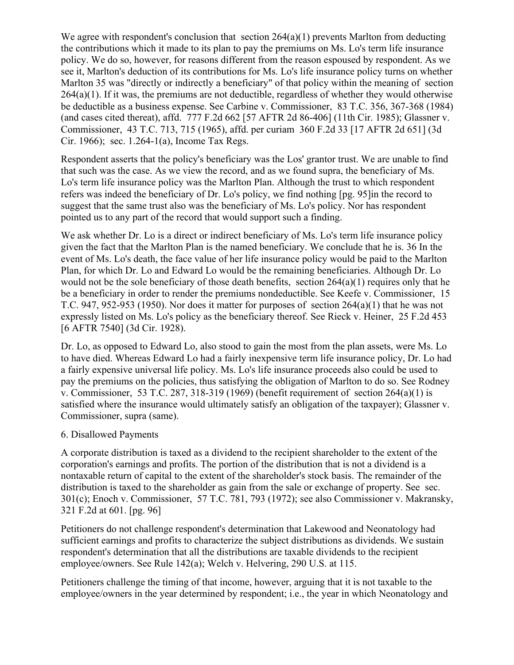We agree with respondent's conclusion that section  $264(a)(1)$  prevents Marlton from deducting the contributions which it made to its plan to pay the premiums on Ms. Lo's term life insurance policy. We do so, however, for reasons different from the reason espoused by respondent. As we see it, Marlton's deduction of its contributions for Ms. Lo's life insurance policy turns on whether Marlton 35 was "directly or indirectly a beneficiary" of that policy within the meaning of section  $264(a)(1)$ . If it was, the premiums are not deductible, regardless of whether they would otherwise be deductible as a business expense. See Carbine v. Commissioner, 83 T.C. 356, 367-368 (1984) (and cases cited thereat), affd. 777 F.2d 662 [57 AFTR 2d 86-406] (11th Cir. 1985); Glassner v. Commissioner, 43 T.C. 713, 715 (1965), affd. per curiam 360 F.2d 33 [17 AFTR 2d 651] (3d Cir. 1966); sec. 1.264-1(a), Income Tax Regs.

Respondent asserts that the policy's beneficiary was the Los' grantor trust. We are unable to find that such was the case. As we view the record, and as we found supra, the beneficiary of Ms. Lo's term life insurance policy was the Marlton Plan. Although the trust to which respondent refers was indeed the beneficiary of Dr. Lo's policy, we find nothing [pg. 95]in the record to suggest that the same trust also was the beneficiary of Ms. Lo's policy. Nor has respondent pointed us to any part of the record that would support such a finding.

We ask whether Dr. Lo is a direct or indirect beneficiary of Ms. Lo's term life insurance policy given the fact that the Marlton Plan is the named beneficiary. We conclude that he is. 36 In the event of Ms. Lo's death, the face value of her life insurance policy would be paid to the Marlton Plan, for which Dr. Lo and Edward Lo would be the remaining beneficiaries. Although Dr. Lo would not be the sole beneficiary of those death benefits, section 264(a)(1) requires only that he be a beneficiary in order to render the premiums nondeductible. See Keefe v. Commissioner, 15 T.C. 947, 952-953 (1950). Nor does it matter for purposes of section  $264(a)(1)$  that he was not expressly listed on Ms. Lo's policy as the beneficiary thereof. See Rieck v. Heiner, 25 F.2d 453 [6 AFTR 7540] (3d Cir. 1928).

Dr. Lo, as opposed to Edward Lo, also stood to gain the most from the plan assets, were Ms. Lo to have died. Whereas Edward Lo had a fairly inexpensive term life insurance policy, Dr. Lo had a fairly expensive universal life policy. Ms. Lo's life insurance proceeds also could be used to pay the premiums on the policies, thus satisfying the obligation of Marlton to do so. See Rodney v. Commissioner, 53 T.C. 287, 318-319 (1969) (benefit requirement of section 264(a)(1) is satisfied where the insurance would ultimately satisfy an obligation of the taxpayer); Glassner v. Commissioner, supra (same).

# 6. Disallowed Payments

A corporate distribution is taxed as a dividend to the recipient shareholder to the extent of the corporation's earnings and profits. The portion of the distribution that is not a dividend is a nontaxable return of capital to the extent of the shareholder's stock basis. The remainder of the distribution is taxed to the shareholder as gain from the sale or exchange of property. See sec. 301(c); Enoch v. Commissioner, 57 T.C. 781, 793 (1972); see also Commissioner v. Makransky, 321 F.2d at 601. [pg. 96]

Petitioners do not challenge respondent's determination that Lakewood and Neonatology had sufficient earnings and profits to characterize the subject distributions as dividends. We sustain respondent's determination that all the distributions are taxable dividends to the recipient employee/owners. See Rule 142(a); Welch v. Helvering, 290 U.S. at 115.

Petitioners challenge the timing of that income, however, arguing that it is not taxable to the employee/owners in the year determined by respondent; i.e., the year in which Neonatology and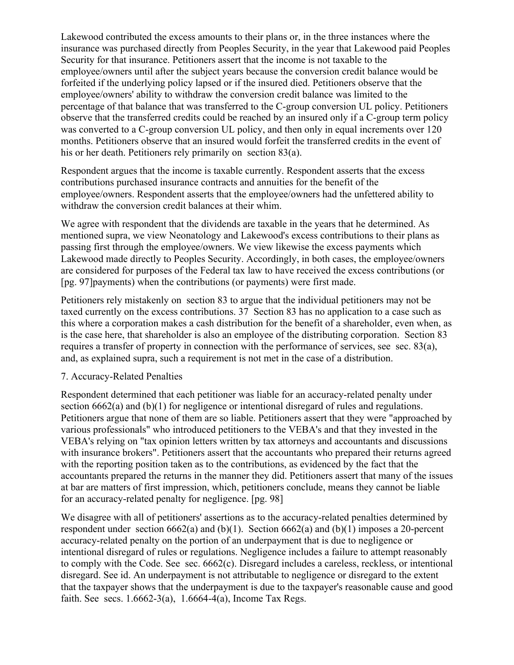Lakewood contributed the excess amounts to their plans or, in the three instances where the insurance was purchased directly from Peoples Security, in the year that Lakewood paid Peoples Security for that insurance. Petitioners assert that the income is not taxable to the employee/owners until after the subject years because the conversion credit balance would be forfeited if the underlying policy lapsed or if the insured died. Petitioners observe that the employee/owners' ability to withdraw the conversion credit balance was limited to the percentage of that balance that was transferred to the C-group conversion UL policy. Petitioners observe that the transferred credits could be reached by an insured only if a C-group term policy was converted to a C-group conversion UL policy, and then only in equal increments over 120 months. Petitioners observe that an insured would forfeit the transferred credits in the event of his or her death. Petitioners rely primarily on section 83(a).

Respondent argues that the income is taxable currently. Respondent asserts that the excess contributions purchased insurance contracts and annuities for the benefit of the employee/owners. Respondent asserts that the employee/owners had the unfettered ability to withdraw the conversion credit balances at their whim.

We agree with respondent that the dividends are taxable in the years that he determined. As mentioned supra, we view Neonatology and Lakewood's excess contributions to their plans as passing first through the employee/owners. We view likewise the excess payments which Lakewood made directly to Peoples Security. Accordingly, in both cases, the employee/owners are considered for purposes of the Federal tax law to have received the excess contributions (or [pg. 97]payments) when the contributions (or payments) were first made.

Petitioners rely mistakenly on section 83 to argue that the individual petitioners may not be taxed currently on the excess contributions. 37 Section 83 has no application to a case such as this where a corporation makes a cash distribution for the benefit of a shareholder, even when, as is the case here, that shareholder is also an employee of the distributing corporation. Section 83 requires a transfer of property in connection with the performance of services, see sec. 83(a), and, as explained supra, such a requirement is not met in the case of a distribution.

#### 7. Accuracy-Related Penalties

Respondent determined that each petitioner was liable for an accuracy-related penalty under section 6662(a) and (b)(1) for negligence or intentional disregard of rules and regulations. Petitioners argue that none of them are so liable. Petitioners assert that they were "approached by various professionals" who introduced petitioners to the VEBA's and that they invested in the VEBA's relying on "tax opinion letters written by tax attorneys and accountants and discussions with insurance brokers". Petitioners assert that the accountants who prepared their returns agreed with the reporting position taken as to the contributions, as evidenced by the fact that the accountants prepared the returns in the manner they did. Petitioners assert that many of the issues at bar are matters of first impression, which, petitioners conclude, means they cannot be liable for an accuracy-related penalty for negligence. [pg. 98]

We disagree with all of petitioners' assertions as to the accuracy-related penalties determined by respondent under section  $6662(a)$  and  $(b)(1)$ . Section  $6662(a)$  and  $(b)(1)$  imposes a 20-percent accuracy-related penalty on the portion of an underpayment that is due to negligence or intentional disregard of rules or regulations. Negligence includes a failure to attempt reasonably to comply with the Code. See sec. 6662(c). Disregard includes a careless, reckless, or intentional disregard. See id. An underpayment is not attributable to negligence or disregard to the extent that the taxpayer shows that the underpayment is due to the taxpayer's reasonable cause and good faith. See secs. 1.6662-3(a), 1.6664-4(a), Income Tax Regs.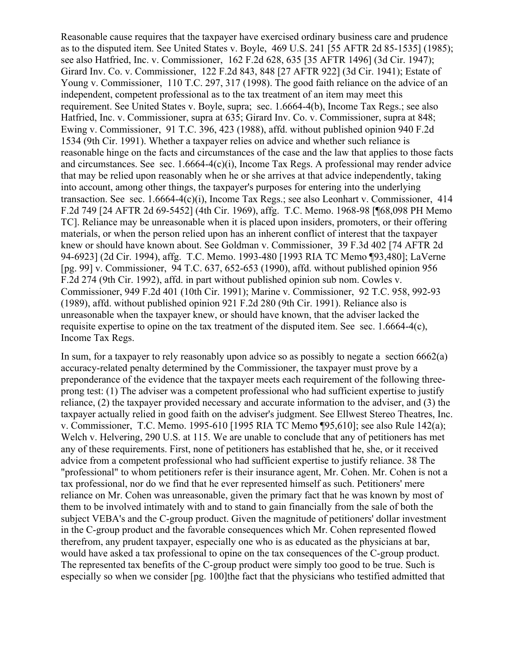Reasonable cause requires that the taxpayer have exercised ordinary business care and prudence as to the disputed item. See United States v. Boyle, 469 U.S. 241 [55 AFTR 2d 85-1535] (1985); see also Hatfried, Inc. v. Commissioner, 162 F.2d 628, 635 [35 AFTR 1496] (3d Cir. 1947); Girard Inv. Co. v. Commissioner, 122 F.2d 843, 848 [27 AFTR 922] (3d Cir. 1941); Estate of Young v. Commissioner, 110 T.C. 297, 317 (1998). The good faith reliance on the advice of an independent, competent professional as to the tax treatment of an item may meet this requirement. See United States v. Boyle, supra; sec. 1.6664-4(b), Income Tax Regs.; see also Hatfried, Inc. v. Commissioner, supra at 635; Girard Inv. Co. v. Commissioner, supra at 848; Ewing v. Commissioner, 91 T.C. 396, 423 (1988), affd. without published opinion 940 F.2d 1534 (9th Cir. 1991). Whether a taxpayer relies on advice and whether such reliance is reasonable hinge on the facts and circumstances of the case and the law that applies to those facts and circumstances. See sec. 1.6664-4(c)(i), Income Tax Regs. A professional may render advice that may be relied upon reasonably when he or she arrives at that advice independently, taking into account, among other things, the taxpayer's purposes for entering into the underlying transaction. See sec. 1.6664-4(c)(i), Income Tax Regs.; see also Leonhart v. Commissioner, 414 F.2d 749 [24 AFTR 2d 69-5452] (4th Cir. 1969), affg. T.C. Memo. 1968-98 [¶68,098 PH Memo TC]. Reliance may be unreasonable when it is placed upon insiders, promoters, or their offering materials, or when the person relied upon has an inherent conflict of interest that the taxpayer knew or should have known about. See Goldman v. Commissioner, 39 F.3d 402 [74 AFTR 2d 94-6923] (2d Cir. 1994), affg. T.C. Memo. 1993-480 [1993 RIA TC Memo ¶93,480]; LaVerne [pg. 99] v. Commissioner, 94 T.C. 637, 652-653 (1990), affd. without published opinion 956 F.2d 274 (9th Cir. 1992), affd. in part without published opinion sub nom. Cowles v. Commissioner, 949 F.2d 401 (10th Cir. 1991); Marine v. Commissioner, 92 T.C. 958, 992-93 (1989), affd. without published opinion 921 F.2d 280 (9th Cir. 1991). Reliance also is unreasonable when the taxpayer knew, or should have known, that the adviser lacked the requisite expertise to opine on the tax treatment of the disputed item. See sec. 1.6664-4(c), Income Tax Regs.

In sum, for a taxpayer to rely reasonably upon advice so as possibly to negate a section  $6662(a)$ accuracy-related penalty determined by the Commissioner, the taxpayer must prove by a preponderance of the evidence that the taxpayer meets each requirement of the following threeprong test: (1) The adviser was a competent professional who had sufficient expertise to justify reliance, (2) the taxpayer provided necessary and accurate information to the adviser, and (3) the taxpayer actually relied in good faith on the adviser's judgment. See Ellwest Stereo Theatres, Inc. v. Commissioner, T.C. Memo. 1995-610 [1995 RIA TC Memo ¶95,610]; see also Rule 142(a); Welch v. Helvering, 290 U.S. at 115. We are unable to conclude that any of petitioners has met any of these requirements. First, none of petitioners has established that he, she, or it received advice from a competent professional who had sufficient expertise to justify reliance. 38 The "professional" to whom petitioners refer is their insurance agent, Mr. Cohen. Mr. Cohen is not a tax professional, nor do we find that he ever represented himself as such. Petitioners' mere reliance on Mr. Cohen was unreasonable, given the primary fact that he was known by most of them to be involved intimately with and to stand to gain financially from the sale of both the subject VEBA's and the C-group product. Given the magnitude of petitioners' dollar investment in the C-group product and the favorable consequences which Mr. Cohen represented flowed therefrom, any prudent taxpayer, especially one who is as educated as the physicians at bar, would have asked a tax professional to opine on the tax consequences of the C-group product. The represented tax benefits of the C-group product were simply too good to be true. Such is especially so when we consider [pg. 100]the fact that the physicians who testified admitted that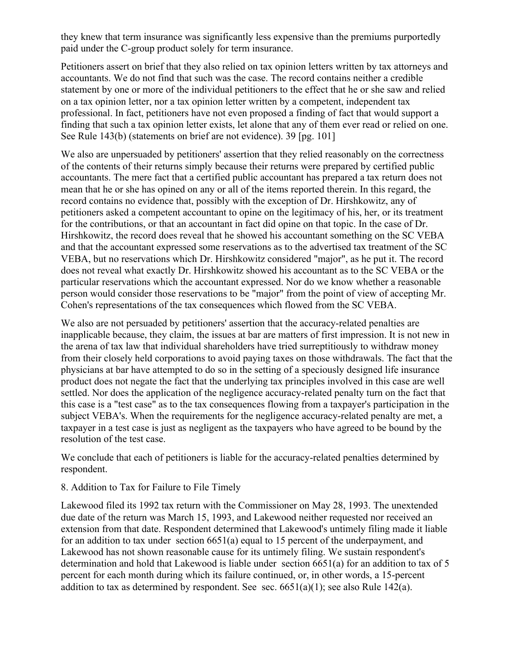they knew that term insurance was significantly less expensive than the premiums purportedly paid under the C-group product solely for term insurance.

Petitioners assert on brief that they also relied on tax opinion letters written by tax attorneys and accountants. We do not find that such was the case. The record contains neither a credible statement by one or more of the individual petitioners to the effect that he or she saw and relied on a tax opinion letter, nor a tax opinion letter written by a competent, independent tax professional. In fact, petitioners have not even proposed a finding of fact that would support a finding that such a tax opinion letter exists, let alone that any of them ever read or relied on one. See Rule 143(b) (statements on brief are not evidence). 39 [pg. 101]

We also are unpersuaded by petitioners' assertion that they relied reasonably on the correctness of the contents of their returns simply because their returns were prepared by certified public accountants. The mere fact that a certified public accountant has prepared a tax return does not mean that he or she has opined on any or all of the items reported therein. In this regard, the record contains no evidence that, possibly with the exception of Dr. Hirshkowitz, any of petitioners asked a competent accountant to opine on the legitimacy of his, her, or its treatment for the contributions, or that an accountant in fact did opine on that topic. In the case of Dr. Hirshkowitz, the record does reveal that he showed his accountant something on the SC VEBA and that the accountant expressed some reservations as to the advertised tax treatment of the SC VEBA, but no reservations which Dr. Hirshkowitz considered "major", as he put it. The record does not reveal what exactly Dr. Hirshkowitz showed his accountant as to the SC VEBA or the particular reservations which the accountant expressed. Nor do we know whether a reasonable person would consider those reservations to be "major" from the point of view of accepting Mr. Cohen's representations of the tax consequences which flowed from the SC VEBA.

We also are not persuaded by petitioners' assertion that the accuracy-related penalties are inapplicable because, they claim, the issues at bar are matters of first impression. It is not new in the arena of tax law that individual shareholders have tried surreptitiously to withdraw money from their closely held corporations to avoid paying taxes on those withdrawals. The fact that the physicians at bar have attempted to do so in the setting of a speciously designed life insurance product does not negate the fact that the underlying tax principles involved in this case are well settled. Nor does the application of the negligence accuracy-related penalty turn on the fact that this case is a "test case" as to the tax consequences flowing from a taxpayer's participation in the subject VEBA's. When the requirements for the negligence accuracy-related penalty are met, a taxpayer in a test case is just as negligent as the taxpayers who have agreed to be bound by the resolution of the test case.

We conclude that each of petitioners is liable for the accuracy-related penalties determined by respondent.

### 8. Addition to Tax for Failure to File Timely

Lakewood filed its 1992 tax return with the Commissioner on May 28, 1993. The unextended due date of the return was March 15, 1993, and Lakewood neither requested nor received an extension from that date. Respondent determined that Lakewood's untimely filing made it liable for an addition to tax under section 6651(a) equal to 15 percent of the underpayment, and Lakewood has not shown reasonable cause for its untimely filing. We sustain respondent's determination and hold that Lakewood is liable under section 6651(a) for an addition to tax of 5 percent for each month during which its failure continued, or, in other words, a 15-percent addition to tax as determined by respondent. See sec.  $6651(a)(1)$ ; see also Rule 142(a).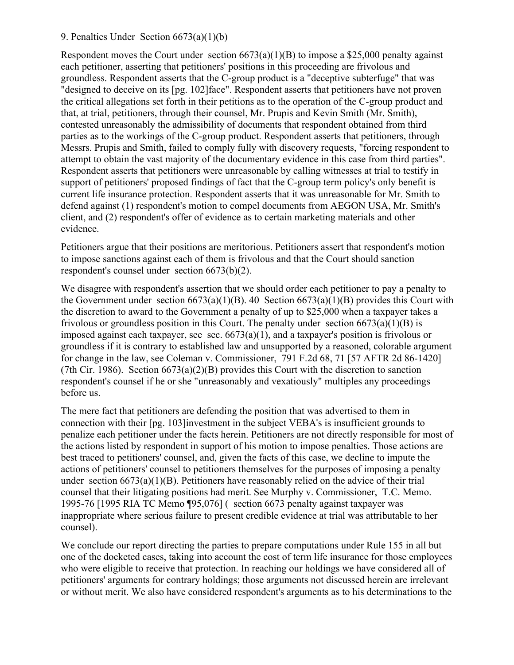### 9. Penalties Under Section 6673(a)(1)(b)

Respondent moves the Court under section  $6673(a)(1)(B)$  to impose a \$25,000 penalty against each petitioner, asserting that petitioners' positions in this proceeding are frivolous and groundless. Respondent asserts that the C-group product is a "deceptive subterfuge" that was "designed to deceive on its [pg. 102]face". Respondent asserts that petitioners have not proven the critical allegations set forth in their petitions as to the operation of the C-group product and that, at trial, petitioners, through their counsel, Mr. Prupis and Kevin Smith (Mr. Smith), contested unreasonably the admissibility of documents that respondent obtained from third parties as to the workings of the C-group product. Respondent asserts that petitioners, through Messrs. Prupis and Smith, failed to comply fully with discovery requests, "forcing respondent to attempt to obtain the vast majority of the documentary evidence in this case from third parties". Respondent asserts that petitioners were unreasonable by calling witnesses at trial to testify in support of petitioners' proposed findings of fact that the C-group term policy's only benefit is current life insurance protection. Respondent asserts that it was unreasonable for Mr. Smith to defend against (1) respondent's motion to compel documents from AEGON USA, Mr. Smith's client, and (2) respondent's offer of evidence as to certain marketing materials and other evidence.

Petitioners argue that their positions are meritorious. Petitioners assert that respondent's motion to impose sanctions against each of them is frivolous and that the Court should sanction respondent's counsel under section 6673(b)(2).

We disagree with respondent's assertion that we should order each petitioner to pay a penalty to the Government under section  $6673(a)(1)(B)$ . 40 Section  $6673(a)(1)(B)$  provides this Court with the discretion to award to the Government a penalty of up to \$25,000 when a taxpayer takes a frivolous or groundless position in this Court. The penalty under section  $6673(a)(1)(B)$  is imposed against each taxpayer, see sec.  $6673(a)(1)$ , and a taxpayer's position is frivolous or groundless if it is contrary to established law and unsupported by a reasoned, colorable argument for change in the law, see Coleman v. Commissioner, 791 F.2d 68, 71 [57 AFTR 2d 86-1420] (7th Cir. 1986). Section 6673(a)(2)(B) provides this Court with the discretion to sanction respondent's counsel if he or she "unreasonably and vexatiously" multiples any proceedings before us.

The mere fact that petitioners are defending the position that was advertised to them in connection with their [pg. 103]investment in the subject VEBA's is insufficient grounds to penalize each petitioner under the facts herein. Petitioners are not directly responsible for most of the actions listed by respondent in support of his motion to impose penalties. Those actions are best traced to petitioners' counsel, and, given the facts of this case, we decline to impute the actions of petitioners' counsel to petitioners themselves for the purposes of imposing a penalty under section  $6673(a)(1)(B)$ . Petitioners have reasonably relied on the advice of their trial counsel that their litigating positions had merit. See Murphy v. Commissioner, T.C. Memo. 1995-76 [1995 RIA TC Memo ¶95,076] ( section 6673 penalty against taxpayer was inappropriate where serious failure to present credible evidence at trial was attributable to her counsel).

We conclude our report directing the parties to prepare computations under Rule 155 in all but one of the docketed cases, taking into account the cost of term life insurance for those employees who were eligible to receive that protection. In reaching our holdings we have considered all of petitioners' arguments for contrary holdings; those arguments not discussed herein are irrelevant or without merit. We also have considered respondent's arguments as to his determinations to the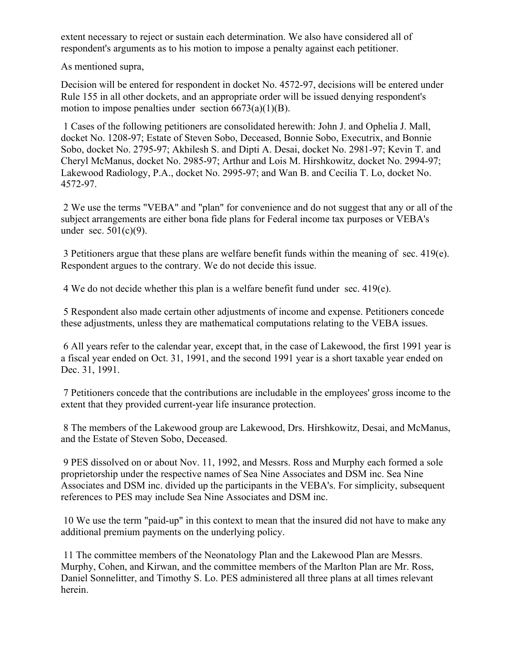extent necessary to reject or sustain each determination. We also have considered all of respondent's arguments as to his motion to impose a penalty against each petitioner.

As mentioned supra,

Decision will be entered for respondent in docket No. 4572-97, decisions will be entered under Rule 155 in all other dockets, and an appropriate order will be issued denying respondent's motion to impose penalties under section  $6673(a)(1)(B)$ .

1 Cases of the following petitioners are consolidated herewith: John J. and Ophelia J. Mall, docket No. 1208-97; Estate of Steven Sobo, Deceased, Bonnie Sobo, Executrix, and Bonnie Sobo, docket No. 2795-97; Akhilesh S. and Dipti A. Desai, docket No. 2981-97; Kevin T. and Cheryl McManus, docket No. 2985-97; Arthur and Lois M. Hirshkowitz, docket No. 2994-97; Lakewood Radiology, P.A., docket No. 2995-97; and Wan B. and Cecilia T. Lo, docket No. 4572-97.

2 We use the terms "VEBA" and "plan" for convenience and do not suggest that any or all of the subject arrangements are either bona fide plans for Federal income tax purposes or VEBA's under sec. 501(c)(9).

3 Petitioners argue that these plans are welfare benefit funds within the meaning of sec. 419(e). Respondent argues to the contrary. We do not decide this issue.

4 We do not decide whether this plan is a welfare benefit fund under sec. 419(e).

5 Respondent also made certain other adjustments of income and expense. Petitioners concede these adjustments, unless they are mathematical computations relating to the VEBA issues.

6 All years refer to the calendar year, except that, in the case of Lakewood, the first 1991 year is a fiscal year ended on Oct. 31, 1991, and the second 1991 year is a short taxable year ended on Dec. 31, 1991.

7 Petitioners concede that the contributions are includable in the employees' gross income to the extent that they provided current-year life insurance protection.

8 The members of the Lakewood group are Lakewood, Drs. Hirshkowitz, Desai, and McManus, and the Estate of Steven Sobo, Deceased.

9 PES dissolved on or about Nov. 11, 1992, and Messrs. Ross and Murphy each formed a sole proprietorship under the respective names of Sea Nine Associates and DSM inc. Sea Nine Associates and DSM inc. divided up the participants in the VEBA's. For simplicity, subsequent references to PES may include Sea Nine Associates and DSM inc.

10 We use the term "paid-up" in this context to mean that the insured did not have to make any additional premium payments on the underlying policy.

11 The committee members of the Neonatology Plan and the Lakewood Plan are Messrs. Murphy, Cohen, and Kirwan, and the committee members of the Marlton Plan are Mr. Ross, Daniel Sonnelitter, and Timothy S. Lo. PES administered all three plans at all times relevant herein.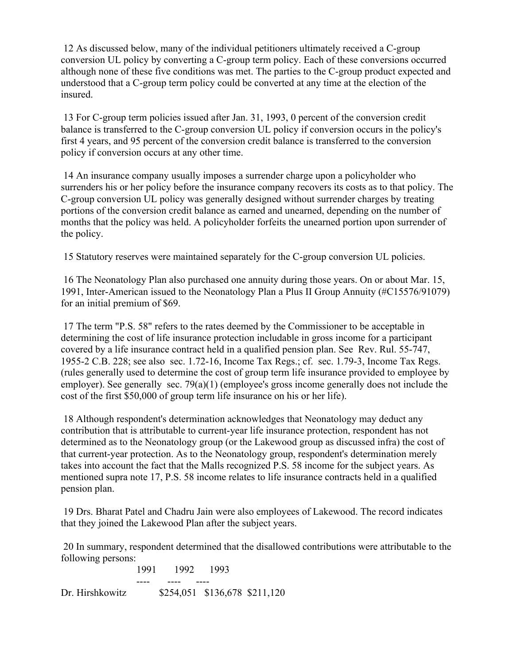12 As discussed below, many of the individual petitioners ultimately received a C-group conversion UL policy by converting a C-group term policy. Each of these conversions occurred although none of these five conditions was met. The parties to the C-group product expected and understood that a C-group term policy could be converted at any time at the election of the insured.

13 For C-group term policies issued after Jan. 31, 1993, 0 percent of the conversion credit balance is transferred to the C-group conversion UL policy if conversion occurs in the policy's first 4 years, and 95 percent of the conversion credit balance is transferred to the conversion policy if conversion occurs at any other time.

14 An insurance company usually imposes a surrender charge upon a policyholder who surrenders his or her policy before the insurance company recovers its costs as to that policy. The C-group conversion UL policy was generally designed without surrender charges by treating portions of the conversion credit balance as earned and unearned, depending on the number of months that the policy was held. A policyholder forfeits the unearned portion upon surrender of the policy.

15 Statutory reserves were maintained separately for the C-group conversion UL policies.

16 The Neonatology Plan also purchased one annuity during those years. On or about Mar. 15, 1991, Inter-American issued to the Neonatology Plan a Plus II Group Annuity (#C15576/91079) for an initial premium of \$69.

17 The term "P.S. 58" refers to the rates deemed by the Commissioner to be acceptable in determining the cost of life insurance protection includable in gross income for a participant covered by a life insurance contract held in a qualified pension plan. See Rev. Rul. 55-747, 1955-2 C.B. 228; see also sec. 1.72-16, Income Tax Regs.; cf. sec. 1.79-3, Income Tax Regs. (rules generally used to determine the cost of group term life insurance provided to employee by employer). See generally sec.  $79(a)(1)$  (employee's gross income generally does not include the cost of the first \$50,000 of group term life insurance on his or her life).

18 Although respondent's determination acknowledges that Neonatology may deduct any contribution that is attributable to current-year life insurance protection, respondent has not determined as to the Neonatology group (or the Lakewood group as discussed infra) the cost of that current-year protection. As to the Neonatology group, respondent's determination merely takes into account the fact that the Malls recognized P.S. 58 income for the subject years. As mentioned supra note 17, P.S. 58 income relates to life insurance contracts held in a qualified pension plan.

19 Drs. Bharat Patel and Chadru Jain were also employees of Lakewood. The record indicates that they joined the Lakewood Plan after the subject years.

20 In summary, respondent determined that the disallowed contributions were attributable to the following persons:

 1991 1992 1993 ---- ---- ---- Dr. Hirshkowitz \$254,051 \$136,678 \$211,120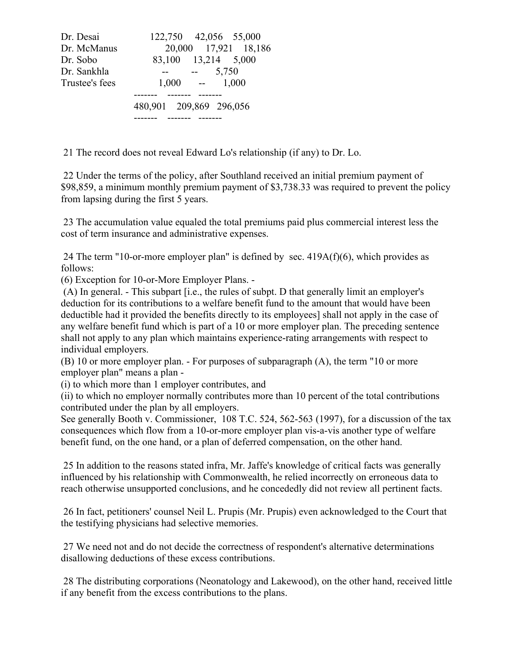| Dr. Desai<br>Dr. McManus      | 122,750 42,056 55,000<br>20,000 17,921 18,186 |
|-------------------------------|-----------------------------------------------|
| Dr. Sobo                      | 83,100 13,214 5,000                           |
| Dr. Sankhla<br>Trustee's fees | 5,750<br>$\sim$ $\sim$<br>1,000<br>$-1,000$   |
|                               | 480,901 209,869 296,056                       |
|                               |                                               |

21 The record does not reveal Edward Lo's relationship (if any) to Dr. Lo.

22 Under the terms of the policy, after Southland received an initial premium payment of \$98,859, a minimum monthly premium payment of \$3,738.33 was required to prevent the policy from lapsing during the first 5 years.

23 The accumulation value equaled the total premiums paid plus commercial interest less the cost of term insurance and administrative expenses.

24 The term "10-or-more employer plan" is defined by sec.  $419A(f)(6)$ , which provides as follows:

(6) Exception for 10-or-More Employer Plans. -

(A) In general. - This subpart [i.e., the rules of subpt. D that generally limit an employer's deduction for its contributions to a welfare benefit fund to the amount that would have been deductible had it provided the benefits directly to its employees] shall not apply in the case of any welfare benefit fund which is part of a 10 or more employer plan. The preceding sentence shall not apply to any plan which maintains experience-rating arrangements with respect to individual employers.

(B) 10 or more employer plan. - For purposes of subparagraph (A), the term "10 or more employer plan" means a plan -

(i) to which more than 1 employer contributes, and

(ii) to which no employer normally contributes more than 10 percent of the total contributions contributed under the plan by all employers.

See generally Booth v. Commissioner, 108 T.C. 524, 562-563 (1997), for a discussion of the tax consequences which flow from a 10-or-more employer plan vis-a-vis another type of welfare benefit fund, on the one hand, or a plan of deferred compensation, on the other hand.

25 In addition to the reasons stated infra, Mr. Jaffe's knowledge of critical facts was generally influenced by his relationship with Commonwealth, he relied incorrectly on erroneous data to reach otherwise unsupported conclusions, and he concededly did not review all pertinent facts.

26 In fact, petitioners' counsel Neil L. Prupis (Mr. Prupis) even acknowledged to the Court that the testifying physicians had selective memories.

27 We need not and do not decide the correctness of respondent's alternative determinations disallowing deductions of these excess contributions.

28 The distributing corporations (Neonatology and Lakewood), on the other hand, received little if any benefit from the excess contributions to the plans.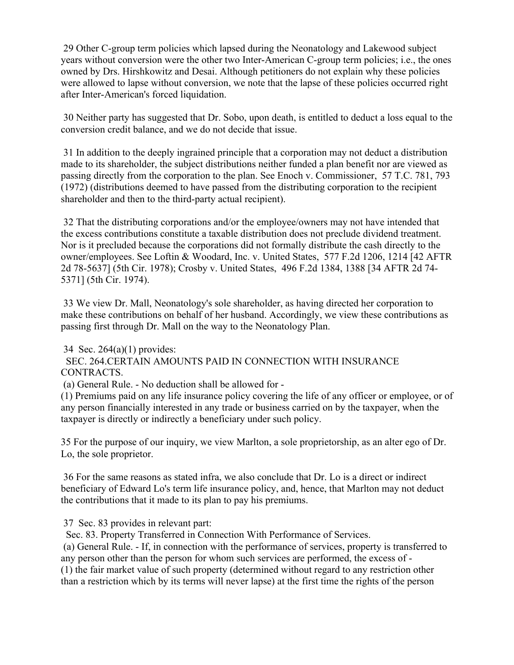29 Other C-group term policies which lapsed during the Neonatology and Lakewood subject years without conversion were the other two Inter-American C-group term policies; i.e., the ones owned by Drs. Hirshkowitz and Desai. Although petitioners do not explain why these policies were allowed to lapse without conversion, we note that the lapse of these policies occurred right after Inter-American's forced liquidation.

30 Neither party has suggested that Dr. Sobo, upon death, is entitled to deduct a loss equal to the conversion credit balance, and we do not decide that issue.

31 In addition to the deeply ingrained principle that a corporation may not deduct a distribution made to its shareholder, the subject distributions neither funded a plan benefit nor are viewed as passing directly from the corporation to the plan. See Enoch v. Commissioner, 57 T.C. 781, 793 (1972) (distributions deemed to have passed from the distributing corporation to the recipient shareholder and then to the third-party actual recipient).

32 That the distributing corporations and/or the employee/owners may not have intended that the excess contributions constitute a taxable distribution does not preclude dividend treatment. Nor is it precluded because the corporations did not formally distribute the cash directly to the owner/employees. See Loftin & Woodard, Inc. v. United States, 577 F.2d 1206, 1214 [42 AFTR 2d 78-5637] (5th Cir. 1978); Crosby v. United States, 496 F.2d 1384, 1388 [34 AFTR 2d 74- 5371] (5th Cir. 1974).

33 We view Dr. Mall, Neonatology's sole shareholder, as having directed her corporation to make these contributions on behalf of her husband. Accordingly, we view these contributions as passing first through Dr. Mall on the way to the Neonatology Plan.

34 Sec. 264(a)(1) provides:

 SEC. 264.CERTAIN AMOUNTS PAID IN CONNECTION WITH INSURANCE CONTRACTS.

(a) General Rule. - No deduction shall be allowed for -

(1) Premiums paid on any life insurance policy covering the life of any officer or employee, or of any person financially interested in any trade or business carried on by the taxpayer, when the taxpayer is directly or indirectly a beneficiary under such policy.

35 For the purpose of our inquiry, we view Marlton, a sole proprietorship, as an alter ego of Dr. Lo, the sole proprietor.

36 For the same reasons as stated infra, we also conclude that Dr. Lo is a direct or indirect beneficiary of Edward Lo's term life insurance policy, and, hence, that Marlton may not deduct the contributions that it made to its plan to pay his premiums.

37 Sec. 83 provides in relevant part:

Sec. 83. Property Transferred in Connection With Performance of Services.

(a) General Rule. - If, in connection with the performance of services, property is transferred to any person other than the person for whom such services are performed, the excess of -

(1) the fair market value of such property (determined without regard to any restriction other than a restriction which by its terms will never lapse) at the first time the rights of the person